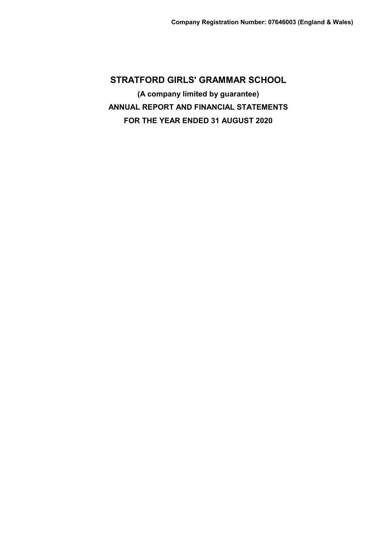**STRATFORD GIRLS' GRAMMAR SCHOOL (A company limited by guarantee) ANNUAL REPORT AND FINANCIAL STATEMENTS FOR THE YEAR ENDED 31 AUGUST 2020**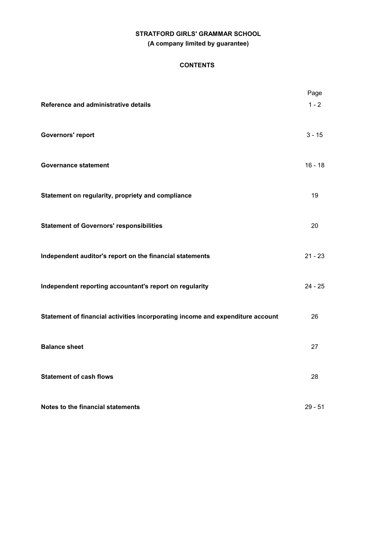# **STRATFORD GIRLS' GRAMMAR SCHOOL (A company limited by guarantee)**

# **CONTENTS**

| Reference and administrative details                                           | Page<br>$1 - 2$ |
|--------------------------------------------------------------------------------|-----------------|
| <b>Governors' report</b>                                                       | $3 - 15$        |
| <b>Governance statement</b>                                                    | $16 - 18$       |
| Statement on regularity, propriety and compliance                              | 19              |
| <b>Statement of Governors' responsibilities</b>                                | 20              |
| Independent auditor's report on the financial statements                       | $21 - 23$       |
| Independent reporting accountant's report on regularity                        | $24 - 25$       |
| Statement of financial activities incorporating income and expenditure account | 26              |
| <b>Balance sheet</b>                                                           | 27              |
| <b>Statement of cash flows</b>                                                 | 28              |
| Notes to the financial statements                                              | $29 - 51$       |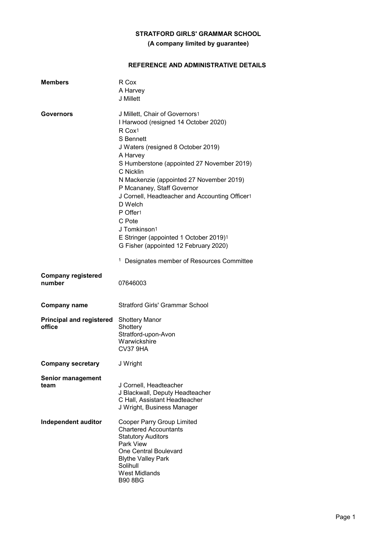# **(A company limited by guarantee)**

# **REFERENCE AND ADMINISTRATIVE DETAILS**

| <b>Members</b>                            | R Cox<br>A Harvey<br>J Millett                                                                                                                                                                                                                                                                                                                                                                                                                                                    |
|-------------------------------------------|-----------------------------------------------------------------------------------------------------------------------------------------------------------------------------------------------------------------------------------------------------------------------------------------------------------------------------------------------------------------------------------------------------------------------------------------------------------------------------------|
| Governors                                 | J Millett, Chair of Governors1<br>I Harwood (resigned 14 October 2020)<br>R Cox1<br><b>S</b> Bennett<br>J Waters (resigned 8 October 2019)<br>A Harvey<br>S Humberstone (appointed 27 November 2019)<br>C Nicklin<br>N Mackenzie (appointed 27 November 2019)<br>P Mcananey, Staff Governor<br>J Cornell, Headteacher and Accounting Officer1<br>D Welch<br>P Offer1<br>C Pote<br>J Tomkinson1<br>E Stringer (appointed 1 October 2019)1<br>G Fisher (appointed 12 February 2020) |
|                                           | 1<br>Designates member of Resources Committee                                                                                                                                                                                                                                                                                                                                                                                                                                     |
| <b>Company registered</b><br>number       | 07646003                                                                                                                                                                                                                                                                                                                                                                                                                                                                          |
| <b>Company name</b>                       | <b>Stratford Girls' Grammar School</b>                                                                                                                                                                                                                                                                                                                                                                                                                                            |
| <b>Principal and registered</b><br>office | <b>Shottery Manor</b><br>Shottery<br>Stratford-upon-Avon<br>Warwickshire<br><b>CV37 9HA</b>                                                                                                                                                                                                                                                                                                                                                                                       |
| <b>Company secretary</b>                  | J Wright                                                                                                                                                                                                                                                                                                                                                                                                                                                                          |
| <b>Senior management</b><br>team          | J Cornell, Headteacher<br>J Blackwall, Deputy Headteacher<br>C Hall, Assistant Headteacher<br>J Wright, Business Manager                                                                                                                                                                                                                                                                                                                                                          |
| Independent auditor                       | <b>Cooper Parry Group Limited</b><br><b>Chartered Accountants</b><br><b>Statutory Auditors</b><br>Park View<br><b>One Central Boulevard</b><br><b>Blythe Valley Park</b><br>Solihull<br><b>West Midlands</b><br><b>B90 8BG</b>                                                                                                                                                                                                                                                    |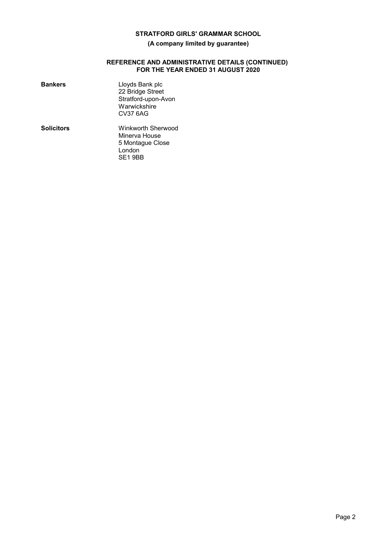# **(A company limited by guarantee)**

#### **REFERENCE AND ADMINISTRATIVE DETAILS (CONTINUED) FOR THE YEAR ENDED 31 AUGUST 2020**

| <b>Bankers</b>    | Lloyds Bank plc<br>22 Bridge Street<br>Stratford-upon-Avon<br>Warwickshire<br>CV37 6AG |
|-------------------|----------------------------------------------------------------------------------------|
| <b>Solicitors</b> | Winkworth Sherwood<br>Minerva House<br>5 Montague Close<br>London<br>SE1 9BB           |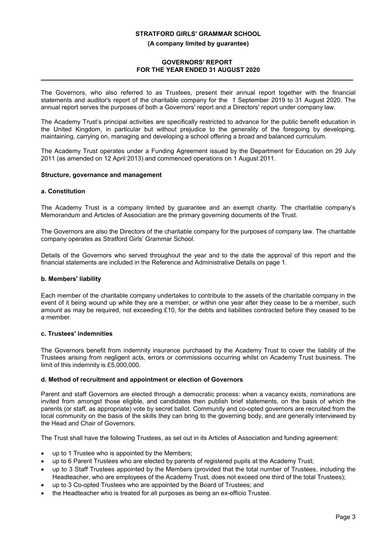#### **(A company limited by guarantee)**

# **GOVERNORS' REPORT FOR THE YEAR ENDED 31 AUGUST 2020**

The Governors, who also referred to as Trustees, present their annual report together with the financial statements and auditor's report of the charitable company for the 1 September 2019 to 31 August 2020. The annual report serves the purposes of both a Governors' report and a Directors' report under company law.

The Academy Trust's principal activities are specifically restricted to advance for the public benefit education in the United Kingdom, in particular but without prejudice to the generality of the foregoing by developing, maintaining, carrying on, managing and developing a school offering a broad and balanced curriculum.

The Academy Trust operates under a Funding Agreement issued by the Department for Education on 29 July 2011 (as amended on 12 April 2013) and commenced operations on 1 August 2011.

#### **Structure, governance and management**

#### **a. Constitution**

The Academy Trust is a company limited by guarantee and an exempt charity. The charitable company's Memorandum and Articles of Association are the primary governing documents of the Trust.

The Governors are also the Directors of the charitable company for the purposes of company law. The charitable company operates as Stratford Girls' Grammar School.

Details of the Governors who served throughout the year and to the date the approval of this report and the financial statements are included in the Reference and Administrative Details on page 1.

#### **b. Members' liability**

Each member of the charitable company undertakes to contribute to the assets of the charitable company in the event of it being wound up while they are a member, or within one year after they cease to be a member, such amount as may be required, not exceeding £10, for the debts and liabilities contracted before they ceased to be a member.

# **c. Trustees' indemnities**

The Governors benefit from indemnity insurance purchased by the Academy Trust to cover the liability of the Trustees arising from negligent acts, errors or commissions occurring whilst on Academy Trust business. The limit of this indemnity is £5,000,000.

#### **d. Method of recruitment and appointment or election of Governors**

Parent and staff Governors are elected through a democratic process: when a vacancy exists, nominations are invited from amongst those eligible, and candidates then publish brief statements, on the basis of which the parents (or staff, as appropriate) vote by secret ballot. Community and co-opted governors are recruited from the local community on the basis of the skills they can bring to the governing body, and are generally interviewed by the Head and Chair of Governors.

The Trust shall have the following Trustees, as set out in its Articles of Association and funding agreement:

- up to 1 Trustee who is appointed by the Members;
- up to 6 Parent Trustees who are elected by parents of registered pupils at the Academy Trust;
- up to 3 Staff Trustees appointed by the Members (provided that the total number of Trustees, including the Headteacher, who are employees of the Academy Trust, does not exceed one third of the total Trustees);
- up to 3 Co-opted Trustees who are appointed by the Board of Trustees; and
- the Headteacher who is treated for all purposes as being an ex-officio Trustee.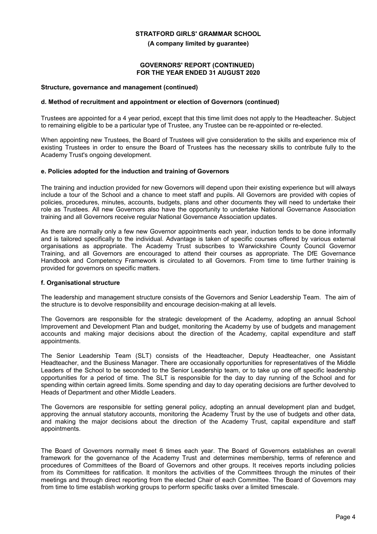**(A company limited by guarantee)**

#### **GOVERNORS' REPORT (CONTINUED) FOR THE YEAR ENDED 31 AUGUST 2020**

#### **Structure, governance and management (continued)**

#### **d. Method of recruitment and appointment or election of Governors (continued)**

Trustees are appointed for a 4 year period, except that this time limit does not apply to the Headteacher. Subject to remaining eligible to be a particular type of Trustee, any Trustee can be re-appointed or re-elected.

When appointing new Trustees, the Board of Trustees will give consideration to the skills and experience mix of existing Trustees in order to ensure the Board of Trustees has the necessary skills to contribute fully to the Academy Trust's ongoing development.

#### **e. Policies adopted for the induction and training of Governors**

The training and induction provided for new Governors will depend upon their existing experience but will always include a tour of the School and a chance to meet staff and pupils. All Governors are provided with copies of policies, procedures, minutes, accounts, budgets, plans and other documents they will need to undertake their role as Trustees. All new Governors also have the opportunity to undertake National Governance Association training and all Governors receive regular National Governance Association updates.

As there are normally only a few new Governor appointments each year, induction tends to be done informally and is tailored specifically to the individual. Advantage is taken of specific courses offered by various external organisations as appropriate. The Academy Trust subscribes to Warwickshire County Council Governor Training, and all Governors are encouraged to attend their courses as appropriate. The DfE Governance Handbook and Competency Framework is circulated to all Governors. From time to time further training is provided for governors on specific matters.

#### **f. Organisational structure**

The leadership and management structure consists of the Governors and Senior Leadership Team. The aim of the structure is to devolve responsibility and encourage decision-making at all levels.

The Governors are responsible for the strategic development of the Academy, adopting an annual School Improvement and Development Plan and budget, monitoring the Academy by use of budgets and management accounts and making major decisions about the direction of the Academy, capital expenditure and staff appointments.

The Senior Leadership Team (SLT) consists of the Headteacher, Deputy Headteacher, one Assistant Headteacher, and the Business Manager. There are occasionally opportunities for representatives of the Middle Leaders of the School to be seconded to the Senior Leadership team, or to take up one off specific leadership opportunities for a period of time. The SLT is responsible for the day to day running of the School and for spending within certain agreed limits. Some spending and day to day operating decisions are further devolved to Heads of Department and other Middle Leaders.

The Governors are responsible for setting general policy, adopting an annual development plan and budget, approving the annual statutory accounts, monitoring the Academy Trust by the use of budgets and other data, and making the major decisions about the direction of the Academy Trust, capital expenditure and staff appointments.

The Board of Governors normally meet 6 times each year. The Board of Governors establishes an overall framework for the governance of the Academy Trust and determines membership, terms of reference and procedures of Committees of the Board of Governors and other groups. It receives reports including policies from its Committees for ratification. It monitors the activities of the Committees through the minutes of their meetings and through direct reporting from the elected Chair of each Committee. The Board of Governors may from time to time establish working groups to perform specific tasks over a limited timescale.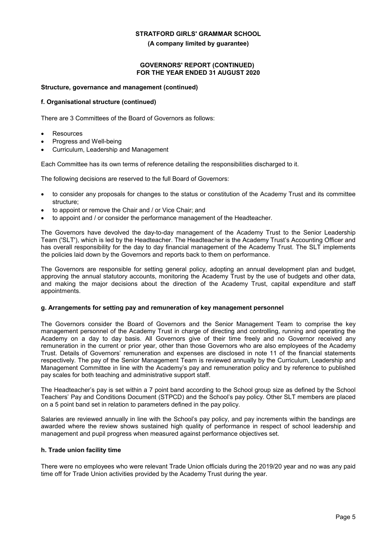**(A company limited by guarantee)**

## **GOVERNORS' REPORT (CONTINUED) FOR THE YEAR ENDED 31 AUGUST 2020**

# **Structure, governance and management (continued)**

# **f. Organisational structure (continued)**

There are 3 Committees of the Board of Governors as follows:

- Resources
- Progress and Well-being
- Curriculum, Leadership and Management

Each Committee has its own terms of reference detailing the responsibilities discharged to it.

The following decisions are reserved to the full Board of Governors:

- to consider any proposals for changes to the status or constitution of the Academy Trust and its committee structure;
- to appoint or remove the Chair and / or Vice Chair; and
- to appoint and / or consider the performance management of the Headteacher.

The Governors have devolved the day-to-day management of the Academy Trust to the Senior Leadership Team ('SLT'), which is led by the Headteacher. The Headteacher is the Academy Trust's Accounting Officer and has overall responsibility for the day to day financial management of the Academy Trust. The SLT implements the policies laid down by the Governors and reports back to them on performance.

The Governors are responsible for setting general policy, adopting an annual development plan and budget, approving the annual statutory accounts, monitoring the Academy Trust by the use of budgets and other data, and making the major decisions about the direction of the Academy Trust, capital expenditure and staff appointments.

#### **g. Arrangements for setting pay and remuneration of key management personnel**

The Governors consider the Board of Governors and the Senior Management Team to comprise the key management personnel of the Academy Trust in charge of directing and controlling, running and operating the Academy on a day to day basis. All Governors give of their time freely and no Governor received any remuneration in the current or prior year, other than those Governors who are also employees of the Academy Trust. Details of Governors' remuneration and expenses are disclosed in note 11 of the financial statements respectively. The pay of the Senior Management Team is reviewed annually by the Curriculum, Leadership and Management Committee in line with the Academy's pay and remuneration policy and by reference to published pay scales for both teaching and administrative support staff.

The Headteacher's pay is set within a 7 point band according to the School group size as defined by the School Teachers' Pay and Conditions Document (STPCD) and the School's pay policy. Other SLT members are placed on a 5 point band set in relation to parameters defined in the pay policy.

Salaries are reviewed annually in line with the School's pay policy, and pay increments within the bandings are awarded where the review shows sustained high quality of performance in respect of school leadership and management and pupil progress when measured against performance objectives set.

#### **h. Trade union facility time**

There were no employees who were relevant Trade Union officials during the 2019/20 year and no was any paid time off for Trade Union activities provided by the Academy Trust during the year.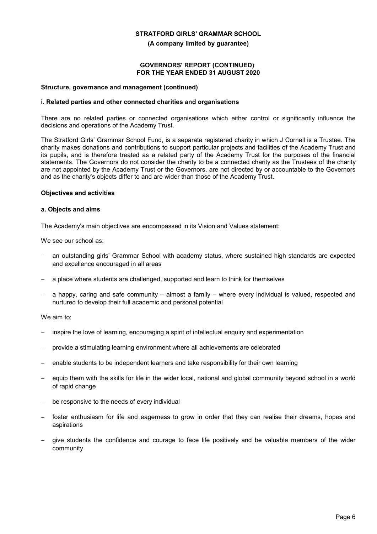**(A company limited by guarantee)**

#### **GOVERNORS' REPORT (CONTINUED) FOR THE YEAR ENDED 31 AUGUST 2020**

#### **Structure, governance and management (continued)**

#### **i. Related parties and other connected charities and organisations**

There are no related parties or connected organisations which either control or significantly influence the decisions and operations of the Academy Trust.

The Stratford Girls' Grammar School Fund, is a separate registered charity in which J Cornell is a Trustee. The charity makes donations and contributions to support particular projects and facilities of the Academy Trust and its pupils, and is therefore treated as a related party of the Academy Trust for the purposes of the financial statements. The Governors do not consider the charity to be a connected charity as the Trustees of the charity are not appointed by the Academy Trust or the Governors, are not directed by or accountable to the Governors and as the charity's objects differ to and are wider than those of the Academy Trust.

#### **Objectives and activities**

#### **a. Objects and aims**

The Academy's main objectives are encompassed in its Vision and Values statement:

We see our school as:

- an outstanding girls' Grammar School with academy status, where sustained high standards are expected and excellence encouraged in all areas
- a place where students are challenged, supported and learn to think for themselves
- a happy, caring and safe community almost a family where every individual is valued, respected and nurtured to develop their full academic and personal potential

We aim to:

- inspire the love of learning, encouraging a spirit of intellectual enquiry and experimentation
- provide a stimulating learning environment where all achievements are celebrated
- enable students to be independent learners and take responsibility for their own learning
- equip them with the skills for life in the wider local, national and global community beyond school in a world of rapid change
- $-$  be responsive to the needs of every individual
- foster enthusiasm for life and eagerness to grow in order that they can realise their dreams, hopes and aspirations
- give students the confidence and courage to face life positively and be valuable members of the wider community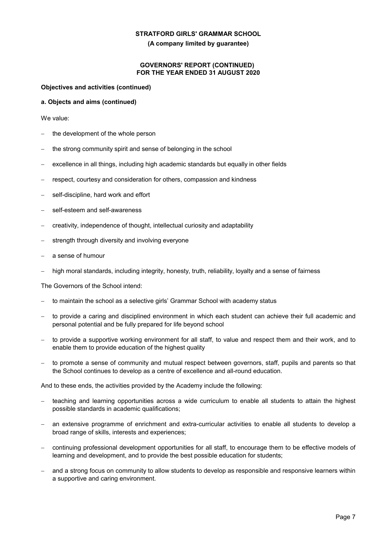#### **(A company limited by guarantee)**

#### **GOVERNORS' REPORT (CONTINUED) FOR THE YEAR ENDED 31 AUGUST 2020**

# **Objectives and activities (continued)**

#### **a. Objects and aims (continued)**

We value:

- the development of the whole person
- the strong community spirit and sense of belonging in the school
- excellence in all things, including high academic standards but equally in other fields
- respect, courtesy and consideration for others, compassion and kindness
- self-discipline, hard work and effort
- self-esteem and self-awareness
- creativity, independence of thought, intellectual curiosity and adaptability
- strength through diversity and involving everyone
- a sense of humour
- high moral standards, including integrity, honesty, truth, reliability, loyalty and a sense of fairness

The Governors of the School intend:

- to maintain the school as a selective girls' Grammar School with academy status
- to provide a caring and disciplined environment in which each student can achieve their full academic and personal potential and be fully prepared for life beyond school
- to provide a supportive working environment for all staff, to value and respect them and their work, and to enable them to provide education of the highest quality
- to promote a sense of community and mutual respect between governors, staff, pupils and parents so that the School continues to develop as a centre of excellence and all-round education.

And to these ends, the activities provided by the Academy include the following:

- teaching and learning opportunities across a wide curriculum to enable all students to attain the highest possible standards in academic qualifications;
- an extensive programme of enrichment and extra-curricular activities to enable all students to develop a broad range of skills, interests and experiences;
- continuing professional development opportunities for all staff, to encourage them to be effective models of learning and development, and to provide the best possible education for students;
- and a strong focus on community to allow students to develop as responsible and responsive learners within a supportive and caring environment.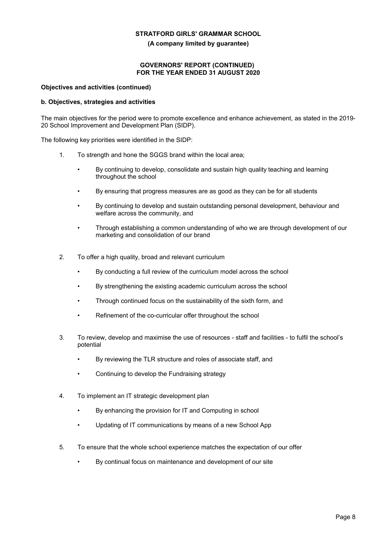**(A company limited by guarantee)**

### **GOVERNORS' REPORT (CONTINUED) FOR THE YEAR ENDED 31 AUGUST 2020**

#### **Objectives and activities (continued)**

#### **b. Objectives, strategies and activities**

The main objectives for the period were to promote excellence and enhance achievement, as stated in the 2019- 20 School Improvement and Development Plan (SIDP).

The following key priorities were identified in the SIDP:

- 1. To strength and hone the SGGS brand within the local area;
	- By continuing to develop, consolidate and sustain high quality teaching and learning throughout the school
	- By ensuring that progress measures are as good as they can be for all students
	- By continuing to develop and sustain outstanding personal development, behaviour and welfare across the community, and
	- Through establishing a common understanding of who we are through development of our marketing and consolidation of our brand
- 2. To offer a high quality, broad and relevant curriculum
	- By conducting a full review of the curriculum model across the school
	- By strengthening the existing academic curriculum across the school
	- Through continued focus on the sustainability of the sixth form, and
	- Refinement of the co-curricular offer throughout the school
- 3. To review, develop and maximise the use of resources staff and facilities to fulfil the school's potential
	- By reviewing the TLR structure and roles of associate staff, and
	- Continuing to develop the Fundraising strategy
- 4. To implement an IT strategic development plan
	- By enhancing the provision for IT and Computing in school
	- Updating of IT communications by means of a new School App
- 5. To ensure that the whole school experience matches the expectation of our offer
	- By continual focus on maintenance and development of our site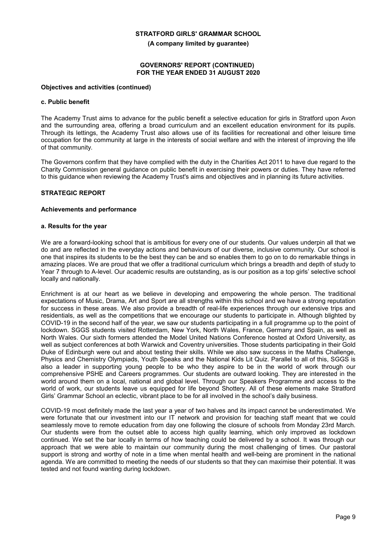**(A company limited by guarantee)**

#### **GOVERNORS' REPORT (CONTINUED) FOR THE YEAR ENDED 31 AUGUST 2020**

#### **Objectives and activities (continued)**

#### **c. Public benefit**

The Academy Trust aims to advance for the public benefit a selective education for girls in Stratford upon Avon and the surrounding area, offering a broad curriculum and an excellent education environment for its pupils. Through its lettings, the Academy Trust also allows use of its facilities for recreational and other leisure time occupation for the community at large in the interests of social welfare and with the interest of improving the life of that community.

The Governors confirm that they have complied with the duty in the Charities Act 2011 to have due regard to the Charity Commission general guidance on public benefit in exercising their powers or duties. They have referred to this guidance when reviewing the Academy Trust's aims and objectives and in planning its future activities.

# **STRATEGIC REPORT**

#### **Achievements and performance**

#### **a. Results for the year**

We are a forward-looking school that is ambitious for every one of our students. Our values underpin all that we do and are reflected in the everyday actions and behaviours of our diverse, inclusive community. Our school is one that inspires its students to be the best they can be and so enables them to go on to do remarkable things in amazing places. We are proud that we offer a traditional curriculum which brings a breadth and depth of study to Year 7 through to A-level. Our academic results are outstanding, as is our position as a top girls' selective school locally and nationally.

Enrichment is at our heart as we believe in developing and empowering the whole person. The traditional expectations of Music, Drama, Art and Sport are all strengths within this school and we have a strong reputation for success in these areas. We also provide a breadth of real-life experiences through our extensive trips and residentials, as well as the competitions that we encourage our students to participate in. Although blighted by COVID-19 in the second half of the year, we saw our students participating in a full programme up to the point of lockdown. SGGS students visited Rotterdam, New York, North Wales, France, Germany and Spain, as well as North Wales. Our sixth formers attended the Model United Nations Conference hosted at Oxford University, as well as subject conferences at both Warwick and Coventry universities. Those students participating in their Gold Duke of Edinburgh were out and about testing their skills. While we also saw success in the Maths Challenge, Physics and Chemistry Olympiads, Youth Speaks and the National Kids Lit Quiz. Parallel to all of this, SGGS is also a leader in supporting young people to be who they aspire to be in the world of work through our comprehensive PSHE and Careers programmes. Our students are outward looking. They are interested in the world around them on a local, national and global level. Through our Speakers Programme and access to the world of work, our students leave us equipped for life beyond Shottery. All of these elements make Stratford Girls' Grammar School an eclectic, vibrant place to be for all involved in the school's daily business.

COVID-19 most definitely made the last year a year of two halves and its impact cannot be underestimated. We were fortunate that our investment into our IT network and provision for teaching staff meant that we could seamlessly move to remote education from day one following the closure of schools from Monday 23rd March. Our students were from the outset able to access high quality learning, which only improved as lockdown continued. We set the bar locally in terms of how teaching could be delivered by a school. It was through our approach that we were able to maintain our community during the most challenging of times. Our pastoral support is strong and worthy of note in a time when mental health and well-being are prominent in the national agenda. We are committed to meeting the needs of our students so that they can maximise their potential. It was tested and not found wanting during lockdown.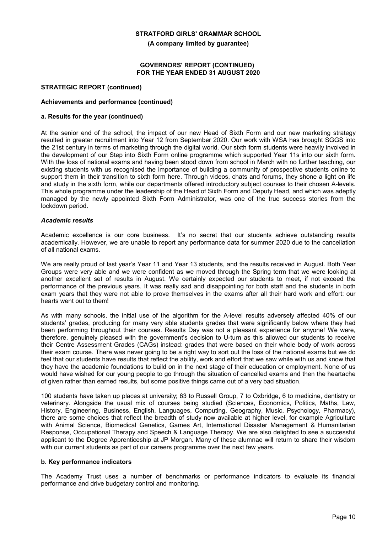**(A company limited by guarantee)**

#### **GOVERNORS' REPORT (CONTINUED) FOR THE YEAR ENDED 31 AUGUST 2020**

#### **STRATEGIC REPORT (continued)**

#### **Achievements and performance (continued)**

# **a. Results for the year (continued)**

At the senior end of the school, the impact of our new Head of Sixth Form and our new marketing strategy resulted in greater recruitment into Year 12 from September 2020. Our work with WSA has brought SGGS into the 21st century in terms of marketing through the digital world. Our sixth form students were heavily involved in the development of our Step into Sixth Form online programme which supported Year 11s into our sixth form. With the loss of national exams and having been stood down from school in March with no further teaching, our existing students with us recognised the importance of building a community of prospective students online to support them in their transition to sixth form here. Through videos, chats and forums, they shone a light on life and study in the sixth form, while our departments offered introductory subject courses to their chosen A-levels. This whole programme under the leadership of the Head of Sixth Form and Deputy Head, and which was adeptly managed by the newly appointed Sixth Form Administrator, was one of the true success stories from the lockdown period.

#### *Academic results*

Academic excellence is our core business. It's no secret that our students achieve outstanding results academically. However, we are unable to report any performance data for summer 2020 due to the cancellation of all national exams.

We are really proud of last year's Year 11 and Year 13 students, and the results received in August. Both Year Groups were very able and we were confident as we moved through the Spring term that we were looking at another excellent set of results in August. We certainly expected our students to meet, if not exceed the performance of the previous years. It was really sad and disappointing for both staff and the students in both exam years that they were not able to prove themselves in the exams after all their hard work and effort: our hearts went out to them!

As with many schools, the initial use of the algorithm for the A-level results adversely affected 40% of our students' grades, producing for many very able students grades that were significantly below where they had been performing throughout their courses. Results Day was not a pleasant experience for anyone! We were, therefore, genuinely pleased with the government's decision to U-turn as this allowed our students to receive their Centre Assessment Grades (CAGs) instead: grades that were based on their whole body of work across their exam course. There was never going to be a right way to sort out the loss of the national exams but we do feel that our students have results that reflect the ability, work and effort that we saw while with us and know that they have the academic foundations to build on in the next stage of their education or employment. None of us would have wished for our young people to go through the situation of cancelled exams and then the heartache of given rather than earned results, but some positive things came out of a very bad situation.

100 students have taken up places at university; 63 to Russell Group, 7 to Oxbridge, 6 to medicine, dentistry or veterinary. Alongside the usual mix of courses being studied (Sciences, Economics, Politics, Maths, Law, History, Engineering, Business, English, Languages, Computing, Geography, Music, Psychology, Pharmacy), there are some choices that reflect the breadth of study now available at higher level, for example Agriculture with Animal Science, Biomedical Genetics, Games Art, International Disaster Management & Humanitarian Response, Occupational Therapy and Speech & Language Therapy. We are also delighted to see a successful applicant to the Degree Apprenticeship at JP Morgan. Many of these alumnae will return to share their wisdom with our current students as part of our careers programme over the next few years.

#### **b. Key performance indicators**

The Academy Trust uses a number of benchmarks or performance indicators to evaluate its financial performance and drive budgetary control and monitoring.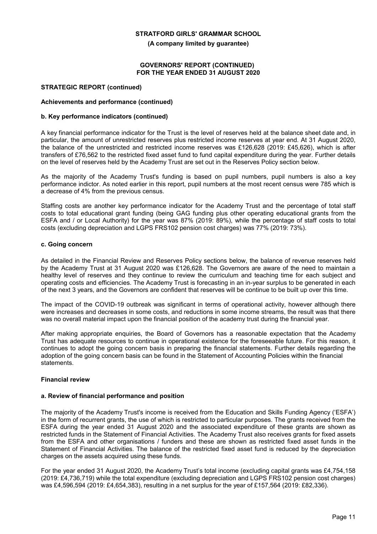**(A company limited by guarantee)**

#### **GOVERNORS' REPORT (CONTINUED) FOR THE YEAR ENDED 31 AUGUST 2020**

#### **STRATEGIC REPORT (continued)**

#### **Achievements and performance (continued)**

#### **b. Key performance indicators (continued)**

A key financial performance indicator for the Trust is the level of reserves held at the balance sheet date and, in particular, the amount of unrestricted reserves plus restricted income reserves at year end. At 31 August 2020, the balance of the unrestricted and restricted income reserves was £126,628 (2019: £45,626), which is after transfers of £76,562 to the restricted fixed asset fund to fund capital expenditure during the year. Further details on the level of reserves held by the Academy Trust are set out in the Reserves Policy section below.

As the majority of the Academy Trust's funding is based on pupil numbers, pupil numbers is also a key performance indictor. As noted earlier in this report, pupil numbers at the most recent census were 785 which is a decrease of 4% from the previous census.

Staffing costs are another key performance indicator for the Academy Trust and the percentage of total staff costs to total educational grant funding (being GAG funding plus other operating educational grants from the ESFA and / or Local Authority) for the year was 87% (2019: 89%), while the percentage of staff costs to total costs (excluding depreciation and LGPS FRS102 pension cost charges) was 77% (2019: 73%).

#### **c. Going concern**

As detailed in the Financial Review and Reserves Policy sections below, the balance of revenue reserves held by the Academy Trust at 31 August 2020 was £126,628. The Governors are aware of the need to maintain a healthy level of reserves and they continue to review the curriculum and teaching time for each subject and operating costs and efficiencies. The Academy Trust is forecasting in an in-year surplus to be generated in each of the next 3 years, and the Governors are confident that reserves will be continue to be built up over this time.

The impact of the COVID-19 outbreak was significant in terms of operational activity, however although there were increases and decreases in some costs, and reductions in some income streams, the result was that there was no overall material impact upon the financial position of the academy trust during the financial year.

After making appropriate enquiries, the Board of Governors has a reasonable expectation that the Academy Trust has adequate resources to continue in operational existence for the foreseeable future. For this reason, it continues to adopt the going concern basis in preparing the financial statements. Further details regarding the adoption of the going concern basis can be found in the Statement of Accounting Policies within the financial statements.

#### **Financial review**

#### **a. Review of financial performance and position**

The majority of the Academy Trust's income is received from the Education and Skills Funding Agency ('ESFA') in the form of recurrent grants, the use of which is restricted to particular purposes. The grants received from the ESFA during the year ended 31 August 2020 and the associated expenditure of these grants are shown as restricted funds in the Statement of Financial Activities. The Academy Trust also receives grants for fixed assets from the ESFA and other organisations / funders and these are shown as restricted fixed asset funds in the Statement of Financial Activities. The balance of the restricted fixed asset fund is reduced by the depreciation charges on the assets acquired using these funds.

For the year ended 31 August 2020, the Academy Trust's total income (excluding capital grants was £4,754,158 (2019: £4,736,719) while the total expenditure (excluding depreciation and LGPS FRS102 pension cost charges) was £4,596,594 (2019: £4,654,383), resulting in a net surplus for the year of £157,564 (2019: £82,336).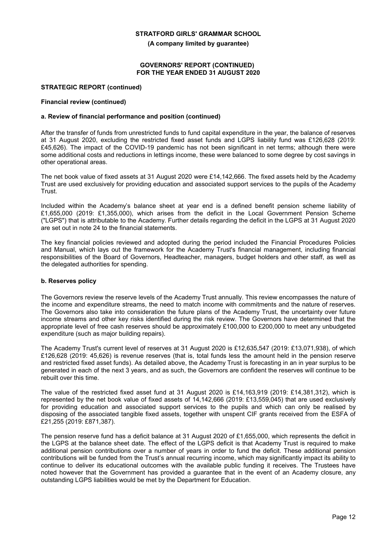**(A company limited by guarantee)**

#### **GOVERNORS' REPORT (CONTINUED) FOR THE YEAR ENDED 31 AUGUST 2020**

#### **STRATEGIC REPORT (continued)**

#### **Financial review (continued)**

#### **a. Review of financial performance and position (continued)**

After the transfer of funds from unrestricted funds to fund capital expenditure in the year, the balance of reserves at 31 August 2020, excluding the restricted fixed asset funds and LGPS liability fund was £126,628 (2019: £45,626). The impact of the COVID-19 pandemic has not been significant in net terms; although there were some additional costs and reductions in lettings income, these were balanced to some degree by cost savings in other operational areas.

The net book value of fixed assets at 31 August 2020 were £14,142,666. The fixed assets held by the Academy Trust are used exclusively for providing education and associated support services to the pupils of the Academy Trust.

Included within the Academy's balance sheet at year end is a defined benefit pension scheme liability of £1,655,000 (2019: £1,355,000), which arises from the deficit in the Local Government Pension Scheme ("LGPS") that is attributable to the Academy. Further details regarding the deficit in the LGPS at 31 August 2020 are set out in note 24 to the financial statements.

The key financial policies reviewed and adopted during the period included the Financial Procedures Policies and Manual, which lays out the framework for the Academy Trust's financial management, including financial responsibilities of the Board of Governors, Headteacher, managers, budget holders and other staff, as well as the delegated authorities for spending.

# **b. Reserves policy**

The Governors review the reserve levels of the Academy Trust annually. This review encompasses the nature of the income and expenditure streams, the need to match income with commitments and the nature of reserves. The Governors also take into consideration the future plans of the Academy Trust, the uncertainty over future income streams and other key risks identified during the risk review. The Governors have determined that the appropriate level of free cash reserves should be approximately £100,000 to £200,000 to meet any unbudgeted expenditure (such as major building repairs).

The Academy Trust's current level of reserves at 31 August 2020 is £12,635,547 (2019: £13,071,938), of which £126,628 (2019: 45,626) is revenue reserves (that is, total funds less the amount held in the pension reserve and restricted fixed asset funds). As detailed above, the Academy Trust is forecasting in an in year surplus to be generated in each of the next 3 years, and as such, the Governors are confident the reserves will continue to be rebuilt over this time.

The value of the restricted fixed asset fund at 31 August 2020 is £14,163,919 (2019: £14,381,312), which is represented by the net book value of fixed assets of 14,142,666 (2019: £13,559,045) that are used exclusively for providing education and associated support services to the pupils and which can only be realised by disposing of the associated tangible fixed assets, together with unspent CIF grants received from the ESFA of £21,255 (2019: £871,387).

The pension reserve fund has a deficit balance at 31 August 2020 of £1,655,000, which represents the deficit in the LGPS at the balance sheet date. The effect of the LGPS deficit is that Academy Trust is required to make additional pension contributions over a number of years in order to fund the deficit. These additional pension contributions will be funded from the Trust's annual recurring income, which may significantly impact its ability to continue to deliver its educational outcomes with the available public funding it receives. The Trustees have noted however that the Government has provided a guarantee that in the event of an Academy closure, any outstanding LGPS liabilities would be met by the Department for Education.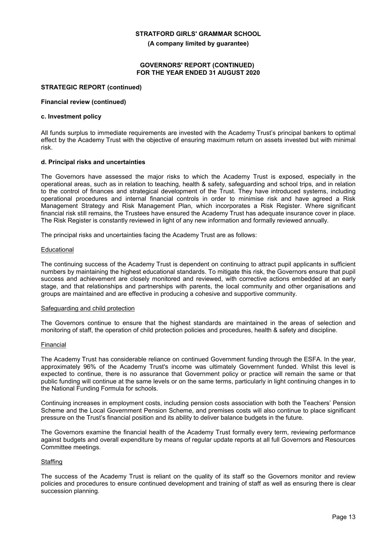**(A company limited by guarantee)**

#### **GOVERNORS' REPORT (CONTINUED) FOR THE YEAR ENDED 31 AUGUST 2020**

#### **STRATEGIC REPORT (continued)**

#### **Financial review (continued)**

#### **c. Investment policy**

All funds surplus to immediate requirements are invested with the Academy Trust's principal bankers to optimal effect by the Academy Trust with the objective of ensuring maximum return on assets invested but with minimal risk.

#### **d. Principal risks and uncertainties**

The Governors have assessed the major risks to which the Academy Trust is exposed, especially in the operational areas, such as in relation to teaching, health & safety, safeguarding and school trips, and in relation to the control of finances and strategical development of the Trust. They have introduced systems, including operational procedures and internal financial controls in order to minimise risk and have agreed a Risk Management Strategy and Risk Management Plan, which incorporates a Risk Register. Where significant financial risk still remains, the Trustees have ensured the Academy Trust has adequate insurance cover in place. The Risk Register is constantly reviewed in light of any new information and formally reviewed annually.

The principal risks and uncertainties facing the Academy Trust are as follows:

#### **Educational**

The continuing success of the Academy Trust is dependent on continuing to attract pupil applicants in sufficient numbers by maintaining the highest educational standards. To mitigate this risk, the Governors ensure that pupil success and achievement are closely monitored and reviewed, with corrective actions embedded at an early stage, and that relationships and partnerships with parents, the local community and other organisations and groups are maintained and are effective in producing a cohesive and supportive community.

#### Safeguarding and child protection

The Governors continue to ensure that the highest standards are maintained in the areas of selection and monitoring of staff, the operation of child protection policies and procedures, health & safety and discipline.

#### Financial

The Academy Trust has considerable reliance on continued Government funding through the ESFA. In the year, approximately 96% of the Academy Trust's income was ultimately Government funded. Whilst this level is expected to continue, there is no assurance that Government policy or practice will remain the same or that public funding will continue at the same levels or on the same terms, particularly in light continuing changes in to the National Funding Formula for schools.

Continuing increases in employment costs, including pension costs association with both the Teachers' Pension Scheme and the Local Government Pension Scheme, and premises costs will also continue to place significant pressure on the Trust's financial position and its ability to deliver balance budgets in the future.

The Governors examine the financial health of the Academy Trust formally every term, reviewing performance against budgets and overall expenditure by means of regular update reports at all full Governors and Resources Committee meetings.

#### **Staffing**

The success of the Academy Trust is reliant on the quality of its staff so the Governors monitor and review policies and procedures to ensure continued development and training of staff as well as ensuring there is clear succession planning.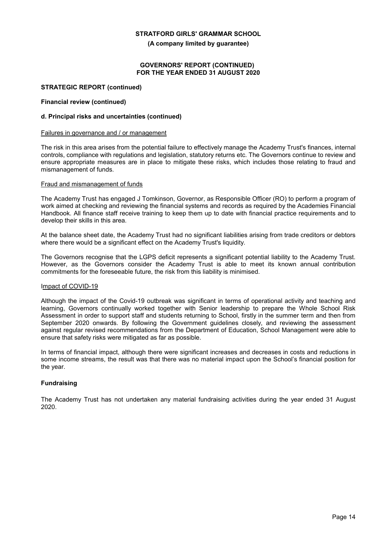**(A company limited by guarantee)**

#### **GOVERNORS' REPORT (CONTINUED) FOR THE YEAR ENDED 31 AUGUST 2020**

#### **STRATEGIC REPORT (continued)**

#### **Financial review (continued)**

#### **d. Principal risks and uncertainties (continued)**

#### Failures in governance and / or management

The risk in this area arises from the potential failure to effectively manage the Academy Trust's finances, internal controls, compliance with regulations and legislation, statutory returns etc. The Governors continue to review and ensure appropriate measures are in place to mitigate these risks, which includes those relating to fraud and mismanagement of funds.

#### Fraud and mismanagement of funds

The Academy Trust has engaged J Tomkinson, Governor, as Responsible Officer (RO) to perform a program of work aimed at checking and reviewing the financial systems and records as required by the Academies Financial Handbook. All finance staff receive training to keep them up to date with financial practice requirements and to develop their skills in this area.

At the balance sheet date, the Academy Trust had no significant liabilities arising from trade creditors or debtors where there would be a significant effect on the Academy Trust's liquidity.

The Governors recognise that the LGPS deficit represents a significant potential liability to the Academy Trust. However, as the Governors consider the Academy Trust is able to meet its known annual contribution commitments for the foreseeable future, the risk from this liability is minimised.

#### Impact of COVID-19

Although the impact of the Covid-19 outbreak was significant in terms of operational activity and teaching and learning, Governors continually worked together with Senior leadership to prepare the Whole School Risk Assessment in order to support staff and students returning to School, firstly in the summer term and then from September 2020 onwards. By following the Government guidelines closely, and reviewing the assessment against regular revised recommendations from the Department of Education, School Management were able to ensure that safety risks were mitigated as far as possible.

In terms of financial impact, although there were significant increases and decreases in costs and reductions in some income streams, the result was that there was no material impact upon the School's financial position for the year.

#### **Fundraising**

The Academy Trust has not undertaken any material fundraising activities during the year ended 31 August 2020.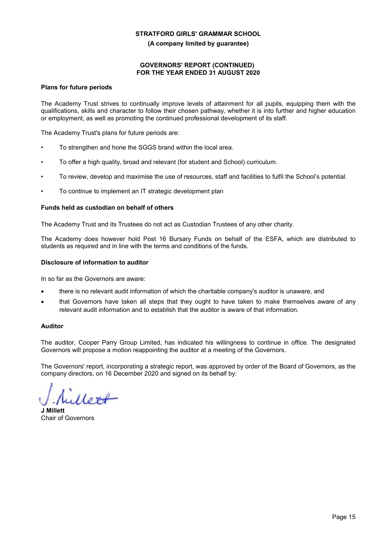**(A company limited by guarantee)**

#### **GOVERNORS' REPORT (CONTINUED) FOR THE YEAR ENDED 31 AUGUST 2020**

#### **Plans for future periods**

The Academy Trust strives to continually improve levels of attainment for all pupils, equipping them with the qualifications, skills and character to follow their chosen pathway, whether it is into further and higher education or employment, as well as promoting the continued professional development of its staff.

The Academy Trust's plans for future periods are:

- To strengthen and hone the SGGS brand within the local area.
- To offer a high quality, broad and relevant (for student and School) curriculum.
- To review, develop and maximise the use of resources, staff and facilities to fulfil the School's potential.
- To continue to implement an IT strategic development plan

#### **Funds held as custodian on behalf of others**

The Academy Trust and its Trustees do not act as Custodian Trustees of any other charity.

The Academy does however hold Post 16 Bursary Funds on behalf of the ESFA, which are distributed to students as required and in line with the terms and conditions of the funds.

#### **Disclosure of information to auditor**

In so far as the Governors are aware:

- there is no relevant audit information of which the charitable company's auditor is unaware, and
- that Governors have taken all steps that they ought to have taken to make themselves aware of any relevant audit information and to establish that the auditor is aware of that information.

#### **Auditor**

The auditor, Cooper Parry Group Limited, has indicated his willingness to continue in office. The designated Governors will propose a motion reappointing the auditor at a meeting of the Governors.

The Governors' report, incorporating a strategic report, was approved by order of the Board of Governors, as the company directors, on 16 December 2020 and signed on its behalf by:

**J Millett** Chair of Governors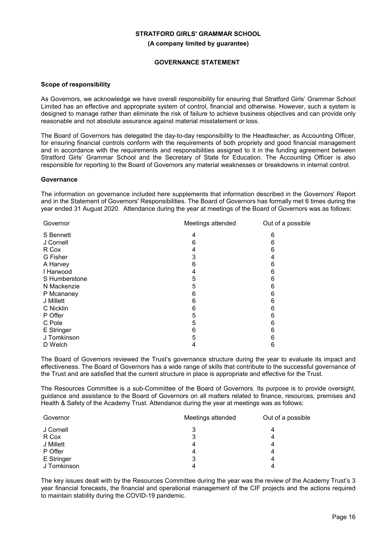**(A company limited by guarantee)**

#### **GOVERNANCE STATEMENT**

#### **Scope of responsibility**

As Governors, we acknowledge we have overall responsibility for ensuring that Stratford Girls' Grammar School Limited has an effective and appropriate system of control, financial and otherwise. However, such a system is designed to manage rather than eliminate the risk of failure to achieve business objectives and can provide only reasonable and not absolute assurance against material misstatement or loss.

The Board of Governors has delegated the day-to-day responsibility to the Headteacher, as Accounting Officer, for ensuring financial controls conform with the requirements of both propriety and good financial management and in accordance with the requirements and responsibilities assigned to it in the funding agreement between Stratford Girls' Grammar School and the Secretary of State for Education. The Accounting Officer is also responsible for reporting to the Board of Governors any material weaknesses or breakdowns in internal control.

#### **Governance**

The information on governance included here supplements that information described in the Governors' Report and in the Statement of Governors' Responsibilities. The Board of Governors has formally met 6 times during the year ended 31 August 2020. Attendance during the year at meetings of the Board of Governors was as follows:

| Governor      | Meetings attended | Out of a possible |
|---------------|-------------------|-------------------|
| S Bennett     | 4                 | 6                 |
| J Cornell     | 6                 | 6                 |
| R Cox         | 4                 | 6                 |
| G Fisher      | 3                 | 4                 |
| A Harvey      | 6                 | 6                 |
| I Harwood     | 4                 | 6                 |
| S Humberstone | 5                 | 6                 |
| N Mackenzie   | 5                 | 6                 |
| P Mcananey    | 6                 | 6                 |
| J Millett     | 6                 | 6                 |
| C Nicklin     | 6                 | 6                 |
| P Offer       | 5                 | 6                 |
| C Pote        | 5                 | 6                 |
| E Stringer    | 6                 | 6                 |
| J Tomkinson   | 5                 | 6                 |
| D Welch       | 4                 | 6                 |

The Board of Governors reviewed the Trust's governance structure during the year to evaluate its impact and effectiveness. The Board of Governors has a wide range of skills that contribute to the successful governance of the Trust and are satisfied that the current structure in place is appropriate and effective for the Trust.

The Resources Committee is a sub-Committee of the Board of Governors. Its purpose is to provide oversight, guidance and assistance to the Board of Governors on all matters related to finance, resources, premises and Health & Safety of the Academy Trust. Attendance during the year at meetings was as follows:

| Governor    | Meetings attended | Out of a possible |
|-------------|-------------------|-------------------|
| J Cornell   | 3                 |                   |
| R Cox       | 3                 | 4                 |
| J Millett   | 4                 | 4                 |
| P Offer     | 4                 | 4                 |
| E Stringer  | 3                 | 4                 |
| J Tomkinson |                   |                   |

The key issues dealt with by the Resources Committee during the year was the review of the Academy Trust's 3 year financial forecasts, the financial and operational management of the CIF projects and the actions required to maintain stability during the COVID-19 pandemic.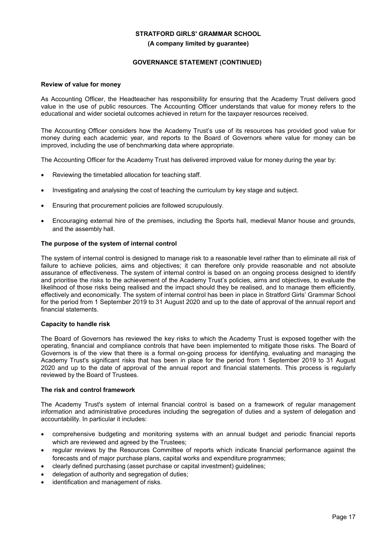# **STRATFORD GIRLS' GRAMMAR SCHOOL (A company limited by guarantee)**

# **GOVERNANCE STATEMENT (CONTINUED)**

#### **Review of value for money**

As Accounting Officer, the Headteacher has responsibility for ensuring that the Academy Trust delivers good value in the use of public resources. The Accounting Officer understands that value for money refers to the educational and wider societal outcomes achieved in return for the taxpayer resources received.

The Accounting Officer considers how the Academy Trust's use of its resources has provided good value for money during each academic year, and reports to the Board of Governors where value for money can be improved, including the use of benchmarking data where appropriate.

The Accounting Officer for the Academy Trust has delivered improved value for money during the year by:

- Reviewing the timetabled allocation for teaching staff.
- Investigating and analysing the cost of teaching the curriculum by key stage and subject.
- Ensuring that procurement policies are followed scrupulously.
- Encouraging external hire of the premises, including the Sports hall, medieval Manor house and grounds, and the assembly hall.

#### **The purpose of the system of internal control**

The system of internal control is designed to manage risk to a reasonable level rather than to eliminate all risk of failure to achieve policies, aims and objectives; it can therefore only provide reasonable and not absolute assurance of effectiveness. The system of internal control is based on an ongoing process designed to identify and prioritise the risks to the achievement of the Academy Trust's policies, aims and objectives, to evaluate the likelihood of those risks being realised and the impact should they be realised, and to manage them efficiently, effectively and economically. The system of internal control has been in place in Stratford Girls' Grammar School for the period from 1 September 2019 to 31 August 2020 and up to the date of approval of the annual report and financial statements.

#### **Capacity to handle risk**

The Board of Governors has reviewed the key risks to which the Academy Trust is exposed together with the operating, financial and compliance controls that have been implemented to mitigate those risks. The Board of Governors is of the view that there is a formal on-going process for identifying, evaluating and managing the Academy Trust's significant risks that has been in place for the period from 1 September 2019 to 31 August 2020 and up to the date of approval of the annual report and financial statements. This process is regularly reviewed by the Board of Trustees.

#### **The risk and control framework**

The Academy Trust's system of internal financial control is based on a framework of regular management information and administrative procedures including the segregation of duties and a system of delegation and accountability. In particular it includes:

- comprehensive budgeting and monitoring systems with an annual budget and periodic financial reports which are reviewed and agreed by the Trustees;
- regular reviews by the Resources Committee of reports which indicate financial performance against the forecasts and of major purchase plans, capital works and expenditure programmes;
- clearly defined purchasing (asset purchase or capital investment) guidelines;
- delegation of authority and segregation of duties;
- identification and management of risks.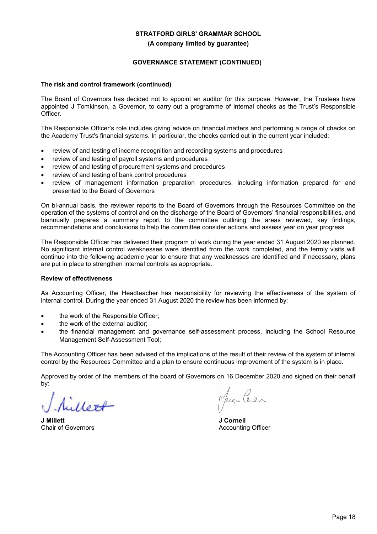#### **(A company limited by guarantee)**

# **GOVERNANCE STATEMENT (CONTINUED)**

# **The risk and control framework (continued)**

The Board of Governors has decided not to appoint an auditor for this purpose. However, the Trustees have appointed J Tomkinson, a Governor, to carry out a programme of internal checks as the Trust's Responsible Officer.

The Responsible Officer's role includes giving advice on financial matters and performing a range of checks on the Academy Trust's financial systems. In particular, the checks carried out in the current year included:

- review of and testing of income recognition and recording systems and procedures
- review of and testing of payroll systems and procedures
- review of and testing of procurement systems and procedures
- review of and testing of bank control procedures
- review of management information preparation procedures, including information prepared for and presented to the Board of Governors

On bi-annual basis, the reviewer reports to the Board of Governors through the Resources Committee on the operation of the systems of control and on the discharge of the Board of Governors' financial responsibilities, and biannually prepares a summary report to the committee outlining the areas reviewed, key findings, recommendations and conclusions to help the committee consider actions and assess year on year progress.

The Responsible Officer has delivered their program of work during the year ended 31 August 2020 as planned. No significant internal control weaknesses were identified from the work completed, and the termly visits will continue into the following academic year to ensure that any weaknesses are identified and if necessary, plans are put in place to strengthen internal controls as appropriate.

# **Review of effectiveness**

As Accounting Officer, the Headteacher has responsibility for reviewing the effectiveness of the system of internal control. During the year ended 31 August 2020 the review has been informed by:

- the work of the Responsible Officer;
- the work of the external auditor;
- the financial management and governance self-assessment process, including the School Resource Management Self-Assessment Tool;

The Accounting Officer has been advised of the implications of the result of their review of the system of internal control by the Resources Committee and a plan to ensure continuous improvement of the system is in place.

Approved by order of the members of the board of Governors on 16 December 2020 and signed on their behalf by:

Liller

**J Millett** Chair of Governors

Narge Cener

**J Cornell** Accounting Officer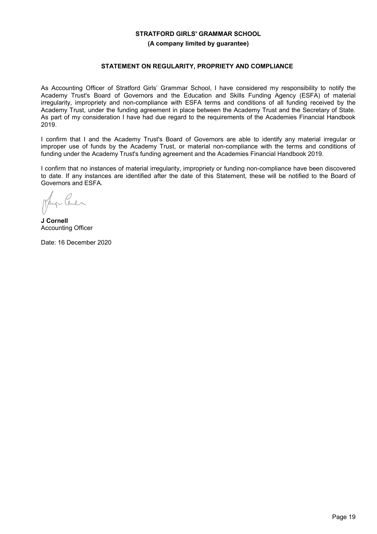**(A company limited by guarantee)**

# **STATEMENT ON REGULARITY, PROPRIETY AND COMPLIANCE**

As Accounting Officer of Stratford Girls' Grammar School, I have considered my responsibility to notify the Academy Trust's Board of Governors and the Education and Skills Funding Agency (ESFA) of material irregularity, impropriety and non-compliance with ESFA terms and conditions of all funding received by the Academy Trust, under the funding agreement in place between the Academy Trust and the Secretary of State. As part of my consideration I have had due regard to the requirements of the Academies Financial Handbook 2019.

I confirm that I and the Academy Trust's Board of Governors are able to identify any material irregular or improper use of funds by the Academy Trust, or material non-compliance with the terms and conditions of funding under the Academy Trust's funding agreement and the Academies Financial Handbook 2019.

I confirm that no instances of material irregularity, impropriety or funding non-compliance have been discovered to date. If any instances are identified after the date of this Statement, these will be notified to the Board of Governors and ESFA.

Cener Jacque

**J Cornell** Accounting Officer

Date: 16 December 2020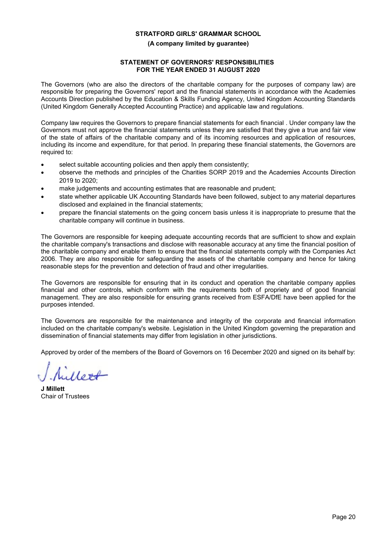#### **(A company limited by guarantee)**

# **STATEMENT OF GOVERNORS' RESPONSIBILITIES FOR THE YEAR ENDED 31 AUGUST 2020**

The Governors (who are also the directors of the charitable company for the purposes of company law) are responsible for preparing the Governors' report and the financial statements in accordance with the Academies Accounts Direction published by the Education & Skills Funding Agency, United Kingdom Accounting Standards (United Kingdom Generally Accepted Accounting Practice) and applicable law and regulations.

Company law requires the Governors to prepare financial statements for each financial . Under company law the Governors must not approve the financial statements unless they are satisfied that they give a true and fair view of the state of affairs of the charitable company and of its incoming resources and application of resources, including its income and expenditure, for that period. In preparing these financial statements, the Governors are required to:

- select suitable accounting policies and then apply them consistently;
- observe the methods and principles of the Charities SORP 2019 and the Academies Accounts Direction 2019 to 2020;
- make judgements and accounting estimates that are reasonable and prudent;
- state whether applicable UK Accounting Standards have been followed, subject to any material departures disclosed and explained in the financial statements;
- prepare the financial statements on the going concern basis unless it is inappropriate to presume that the charitable company will continue in business.

The Governors are responsible for keeping adequate accounting records that are sufficient to show and explain the charitable company's transactions and disclose with reasonable accuracy at any time the financial position of the charitable company and enable them to ensure that the financial statements comply with the Companies Act 2006. They are also responsible for safeguarding the assets of the charitable company and hence for taking reasonable steps for the prevention and detection of fraud and other irregularities.

The Governors are responsible for ensuring that in its conduct and operation the charitable company applies financial and other controls, which conform with the requirements both of propriety and of good financial management. They are also responsible for ensuring grants received from ESFA/DfE have been applied for the purposes intended.

The Governors are responsible for the maintenance and integrity of the corporate and financial information included on the charitable company's website. Legislation in the United Kingdom governing the preparation and dissemination of financial statements may differ from legislation in other jurisdictions.

Approved by order of the members of the Board of Governors on 16 December 2020 and signed on its behalf by:

Nullet

**J Millett** Chair of Trustees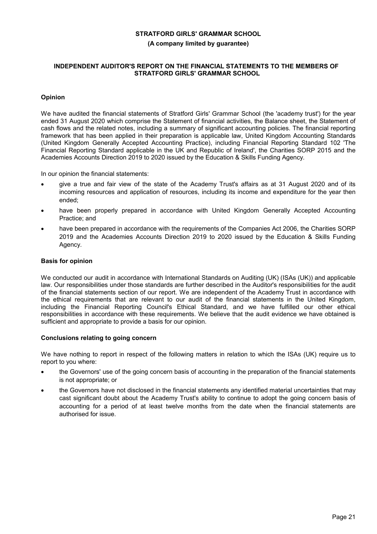#### **(A company limited by guarantee)**

#### **INDEPENDENT AUDITOR'S REPORT ON THE FINANCIAL STATEMENTS TO THE MEMBERS OF STRATFORD GIRLS' GRAMMAR SCHOOL**

# **Opinion**

We have audited the financial statements of Stratford Girls' Grammar School (the 'academy trust') for the year ended 31 August 2020 which comprise the Statement of financial activities, the Balance sheet, the Statement of cash flows and the related notes, including a summary of significant accounting policies. The financial reporting framework that has been applied in their preparation is applicable law, United Kingdom Accounting Standards (United Kingdom Generally Accepted Accounting Practice), including Financial Reporting Standard 102 'The Financial Reporting Standard applicable in the UK and Republic of Ireland', the Charities SORP 2015 and the Academies Accounts Direction 2019 to 2020 issued by the Education & Skills Funding Agency.

In our opinion the financial statements:

- give a true and fair view of the state of the Academy Trust's affairs as at 31 August 2020 and of its incoming resources and application of resources, including its income and expenditure for the year then ended;
- have been properly prepared in accordance with United Kingdom Generally Accepted Accounting Practice; and
- have been prepared in accordance with the requirements of the Companies Act 2006, the Charities SORP 2019 and the Academies Accounts Direction 2019 to 2020 issued by the Education & Skills Funding Agency.

#### **Basis for opinion**

We conducted our audit in accordance with International Standards on Auditing (UK) (ISAs (UK)) and applicable law. Our responsibilities under those standards are further described in the Auditor's responsibilities for the audit of the financial statements section of our report. We are independent of the Academy Trust in accordance with the ethical requirements that are relevant to our audit of the financial statements in the United Kingdom, including the Financial Reporting Council's Ethical Standard, and we have fulfilled our other ethical responsibilities in accordance with these requirements. We believe that the audit evidence we have obtained is sufficient and appropriate to provide a basis for our opinion.

#### **Conclusions relating to going concern**

We have nothing to report in respect of the following matters in relation to which the ISAs (UK) require us to report to you where:

- the Governors' use of the going concern basis of accounting in the preparation of the financial statements is not appropriate; or
- the Governors have not disclosed in the financial statements any identified material uncertainties that may cast significant doubt about the Academy Trust's ability to continue to adopt the going concern basis of accounting for a period of at least twelve months from the date when the financial statements are authorised for issue.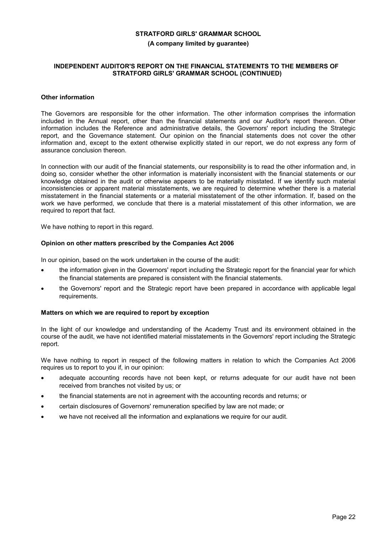#### **(A company limited by guarantee)**

#### **INDEPENDENT AUDITOR'S REPORT ON THE FINANCIAL STATEMENTS TO THE MEMBERS OF STRATFORD GIRLS' GRAMMAR SCHOOL (CONTINUED)**

#### **Other information**

The Governors are responsible for the other information. The other information comprises the information included in the Annual report, other than the financial statements and our Auditor's report thereon. Other information includes the Reference and administrative details, the Governors' report including the Strategic report, and the Governance statement. Our opinion on the financial statements does not cover the other information and, except to the extent otherwise explicitly stated in our report, we do not express any form of assurance conclusion thereon.

In connection with our audit of the financial statements, our responsibility is to read the other information and, in doing so, consider whether the other information is materially inconsistent with the financial statements or our knowledge obtained in the audit or otherwise appears to be materially misstated. If we identify such material inconsistencies or apparent material misstatements, we are required to determine whether there is a material misstatement in the financial statements or a material misstatement of the other information. If, based on the work we have performed, we conclude that there is a material misstatement of this other information, we are required to report that fact.

We have nothing to report in this regard.

#### **Opinion on other matters prescribed by the Companies Act 2006**

In our opinion, based on the work undertaken in the course of the audit:

- the information given in the Governors' report including the Strategic report for the financial year for which the financial statements are prepared is consistent with the financial statements.
- the Governors' report and the Strategic report have been prepared in accordance with applicable legal requirements.

#### **Matters on which we are required to report by exception**

In the light of our knowledge and understanding of the Academy Trust and its environment obtained in the course of the audit, we have not identified material misstatements in the Governors' report including the Strategic report.

We have nothing to report in respect of the following matters in relation to which the Companies Act 2006 requires us to report to you if, in our opinion:

- adequate accounting records have not been kept, or returns adequate for our audit have not been received from branches not visited by us; or
- the financial statements are not in agreement with the accounting records and returns; or
- certain disclosures of Governors' remuneration specified by law are not made; or
- we have not received all the information and explanations we require for our audit.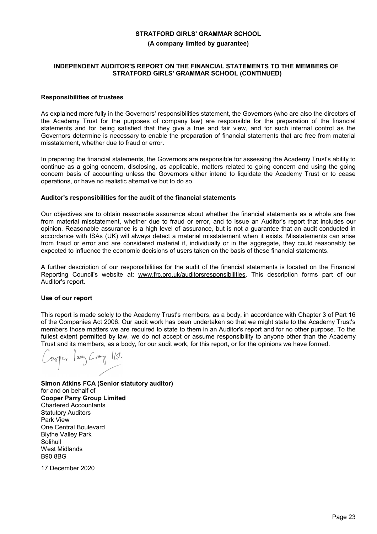#### **(A company limited by guarantee)**

#### **INDEPENDENT AUDITOR'S REPORT ON THE FINANCIAL STATEMENTS TO THE MEMBERS OF STRATFORD GIRLS' GRAMMAR SCHOOL (CONTINUED)**

#### **Responsibilities of trustees**

As explained more fully in the Governors' responsibilities statement, the Governors (who are also the directors of the Academy Trust for the purposes of company law) are responsible for the preparation of the financial statements and for being satisfied that they give a true and fair view, and for such internal control as the Governors determine is necessary to enable the preparation of financial statements that are free from material misstatement, whether due to fraud or error.

In preparing the financial statements, the Governors are responsible for assessing the Academy Trust's ability to continue as a going concern, disclosing, as applicable, matters related to going concern and using the going concern basis of accounting unless the Governors either intend to liquidate the Academy Trust or to cease operations, or have no realistic alternative but to do so.

#### **Auditor's responsibilities for the audit of the financial statements**

Our objectives are to obtain reasonable assurance about whether the financial statements as a whole are free from material misstatement, whether due to fraud or error, and to issue an Auditor's report that includes our opinion. Reasonable assurance is a high level of assurance, but is not a guarantee that an audit conducted in accordance with ISAs (UK) will always detect a material misstatement when it exists. Misstatements can arise from fraud or error and are considered material if, individually or in the aggregate, they could reasonably be expected to influence the economic decisions of users taken on the basis of these financial statements.

A further description of our responsibilities for the audit of the financial statements is located on the Financial Reporting Council's website at: www.frc.org.uk/auditorsresponsibilities. This description forms part of our Auditor's report.

#### **Use of our report**

This report is made solely to the Academy Trust's members, as a body, in accordance with Chapter 3 of Part 16 of the Companies Act 2006. Our audit work has been undertaken so that we might state to the Academy Trust's members those matters we are required to state to them in an Auditor's report and for no other purpose. To the fullest extent permitted by law, we do not accept or assume responsibility to anyone other than the Academy Trust and its members, as a body, for our audit work, for this report, or for the opinions we have formed.

osper lang Gro

**Simon Atkins FCA (Senior statutory auditor)** for and on behalf of **Cooper Parry Group Limited** Chartered Accountants Statutory Auditors Park View One Central Boulevard Blythe Valley Park Solihull West Midlands B90 8BG

17 December 2020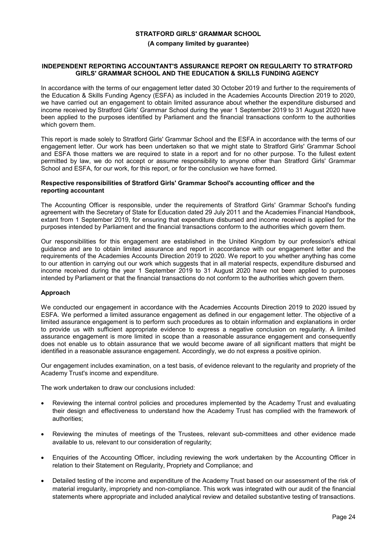#### **(A company limited by guarantee)**

#### **INDEPENDENT REPORTING ACCOUNTANT'S ASSURANCE REPORT ON REGULARITY TO STRATFORD GIRLS' GRAMMAR SCHOOL AND THE EDUCATION & SKILLS FUNDING AGENCY**

In accordance with the terms of our engagement letter dated 30 October 2019 and further to the requirements of the Education & Skills Funding Agency (ESFA) as included in the Academies Accounts Direction 2019 to 2020, we have carried out an engagement to obtain limited assurance about whether the expenditure disbursed and income received by Stratford Girls' Grammar School during the year 1 September 2019 to 31 August 2020 have been applied to the purposes identified by Parliament and the financial transactions conform to the authorities which govern them.

This report is made solely to Stratford Girls' Grammar School and the ESFA in accordance with the terms of our engagement letter. Our work has been undertaken so that we might state to Stratford Girls' Grammar School and ESFA those matters we are required to state in a report and for no other purpose. To the fullest extent permitted by law, we do not accept or assume responsibility to anyone other than Stratford Girls' Grammar School and ESFA, for our work, for this report, or for the conclusion we have formed.

#### **Respective responsibilities of Stratford Girls' Grammar School's accounting officer and the reporting accountant**

The Accounting Officer is responsible, under the requirements of Stratford Girls' Grammar School's funding agreement with the Secretary of State for Education dated 29 July 2011 and the Academies Financial Handbook, extant from 1 September 2019, for ensuring that expenditure disbursed and income received is applied for the purposes intended by Parliament and the financial transactions conform to the authorities which govern them.

Our responsibilities for this engagement are established in the United Kingdom by our profession's ethical guidance and are to obtain limited assurance and report in accordance with our engagement letter and the requirements of the Academies Accounts Direction 2019 to 2020. We report to you whether anything has come to our attention in carrying out our work which suggests that in all material respects, expenditure disbursed and income received during the year 1 September 2019 to 31 August 2020 have not been applied to purposes intended by Parliament or that the financial transactions do not conform to the authorities which govern them.

# **Approach**

We conducted our engagement in accordance with the Academies Accounts Direction 2019 to 2020 issued by ESFA. We performed a limited assurance engagement as defined in our engagement letter. The objective of a limited assurance engagement is to perform such procedures as to obtain information and explanations in order to provide us with sufficient appropriate evidence to express a negative conclusion on regularity. A limited assurance engagement is more limited in scope than a reasonable assurance engagement and consequently does not enable us to obtain assurance that we would become aware of all significant matters that might be identified in a reasonable assurance engagement. Accordingly, we do not express a positive opinion.

Our engagement includes examination, on a test basis, of evidence relevant to the regularity and propriety of the Academy Trust's income and expenditure.

The work undertaken to draw our conclusions included:

- Reviewing the internal control policies and procedures implemented by the Academy Trust and evaluating their design and effectiveness to understand how the Academy Trust has complied with the framework of authorities;
- Reviewing the minutes of meetings of the Trustees, relevant sub-committees and other evidence made available to us, relevant to our consideration of regularity;
- Enquiries of the Accounting Officer, including reviewing the work undertaken by the Accounting Officer in relation to their Statement on Regularity, Propriety and Compliance; and
- Detailed testing of the income and expenditure of the Academy Trust based on our assessment of the risk of material irregularity, impropriety and non-compliance. This work was integrated with our audit of the financial statements where appropriate and included analytical review and detailed substantive testing of transactions.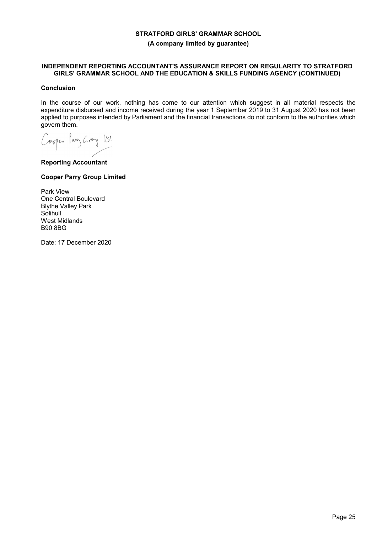**(A company limited by guarantee)**

#### **INDEPENDENT REPORTING ACCOUNTANT'S ASSURANCE REPORT ON REGULARITY TO STRATFORD GIRLS' GRAMMAR SCHOOL AND THE EDUCATION & SKILLS FUNDING AGENCY (CONTINUED)**

#### **Conclusion**

In the course of our work, nothing has come to our attention which suggest in all material respects the expenditure disbursed and income received during the year 1 September 2019 to 31 August 2020 has not been applied to purposes intended by Parliament and the financial transactions do not conform to the authorities which govern them.

Cosper lang Groy 11.

# **Reporting Accountant**

# **Cooper Parry Group Limited**

Park View One Central Boulevard Blythe Valley Park Solihull West Midlands B90 8BG

Date: 17 December 2020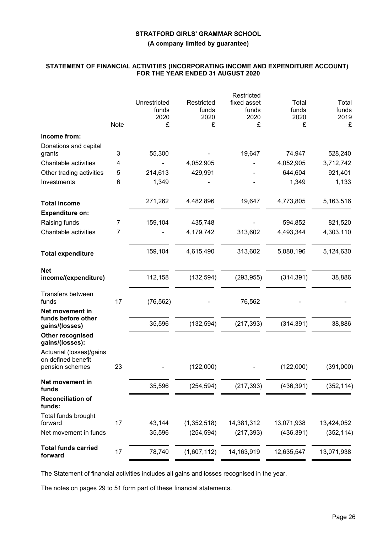**(A company limited by guarantee)**

# **STATEMENT OF FINANCIAL ACTIVITIES (INCORPORATING INCOME AND EXPENDITURE ACCOUNT) FOR THE YEAR ENDED 31 AUGUST 2020**

|                                                                   |      |                               |                             | Restricted                   |                        |                        |
|-------------------------------------------------------------------|------|-------------------------------|-----------------------------|------------------------------|------------------------|------------------------|
|                                                                   |      | Unrestricted<br>funds<br>2020 | Restricted<br>funds<br>2020 | fixed asset<br>funds<br>2020 | Total<br>funds<br>2020 | Total<br>funds<br>2019 |
|                                                                   | Note | £                             | £                           | £                            | £                      | £                      |
| Income from:                                                      |      |                               |                             |                              |                        |                        |
| Donations and capital<br>grants                                   | 3    | 55,300                        |                             | 19,647                       | 74,947                 | 528,240                |
| Charitable activities                                             | 4    |                               | 4,052,905                   |                              | 4,052,905              | 3,712,742              |
| Other trading activities                                          | 5    | 214,613                       | 429,991                     |                              | 644,604                | 921,401                |
| Investments                                                       | 6    | 1,349                         |                             |                              | 1,349                  | 1,133                  |
| <b>Total income</b>                                               |      | 271,262                       | 4,482,896                   | 19,647                       | 4,773,805              | 5,163,516              |
| <b>Expenditure on:</b>                                            |      |                               |                             |                              |                        |                        |
| Raising funds                                                     | 7    | 159,104                       | 435,748                     |                              | 594,852                | 821,520                |
| Charitable activities                                             | 7    |                               | 4,179,742                   | 313,602                      | 4,493,344              | 4,303,110              |
| <b>Total expenditure</b>                                          |      | 159,104                       | 4,615,490                   | 313,602                      | 5,088,196              | 5,124,630              |
| <b>Net</b>                                                        |      |                               |                             |                              |                        |                        |
| income/(expenditure)                                              |      | 112,158                       | (132, 594)                  | (293, 955)                   | (314, 391)             | 38,886                 |
| Transfers between<br>funds                                        | 17   | (76, 562)                     |                             | 76,562                       |                        |                        |
| Net movement in<br>funds before other<br>gains/(losses)           |      | 35,596                        | (132, 594)                  | (217, 393)                   | (314, 391)             | 38,886                 |
| Other recognised<br>gains/(losses):                               |      |                               |                             |                              |                        |                        |
| Actuarial (losses)/gains<br>on defined benefit<br>pension schemes | 23   |                               | (122,000)                   |                              | (122,000)              | (391,000)              |
|                                                                   |      |                               |                             |                              |                        |                        |
| Net movement in<br>funds                                          |      | 35,596                        | (254, 594)                  | (217, 393)                   | (436, 391)             | (352, 114)             |
| <b>Reconciliation of</b><br>funds:                                |      |                               |                             |                              |                        |                        |
| Total funds brought<br>forward                                    | 17   | 43,144                        | (1,352,518)                 | 14,381,312                   | 13,071,938             | 13,424,052             |
| Net movement in funds                                             |      | 35,596                        | (254, 594)                  | (217, 393)                   | (436, 391)             | (352, 114)             |
| <b>Total funds carried</b><br>forward                             | 17   | 78,740                        | (1,607,112)                 | 14,163,919                   | 12,635,547             | 13,071,938             |

The Statement of financial activities includes all gains and losses recognised in the year.

The notes on pages 29 to 51 form part of these financial statements.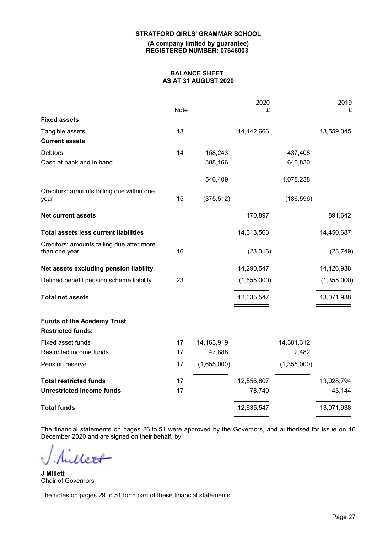**(A company limited by guarantee) REGISTERED NUMBER: 07646003**

# **BALANCE SHEET AS AT 31 AUGUST 2020**

|                                                               | <b>Note</b> |             | 2020<br>£   |             | 2019<br>£   |
|---------------------------------------------------------------|-------------|-------------|-------------|-------------|-------------|
| <b>Fixed assets</b>                                           |             |             |             |             |             |
| Tangible assets                                               | 13          |             | 14,142,666  |             | 13,559,045  |
| <b>Current assets</b>                                         |             |             |             |             |             |
| <b>Debtors</b>                                                | 14          | 158,243     |             | 437,408     |             |
| Cash at bank and in hand                                      |             | 388,166     |             | 640,830     |             |
|                                                               |             | 546,409     |             | 1,078,238   |             |
| Creditors: amounts falling due within one<br>year             | 15          | (375, 512)  |             | (186, 596)  |             |
| <b>Net current assets</b>                                     |             |             | 170,897     |             | 891,642     |
| <b>Total assets less current liabilities</b>                  |             |             | 14,313,563  |             | 14,450,687  |
| Creditors: amounts falling due after more<br>than one year    | 16          |             | (23,016)    |             | (23, 749)   |
| Net assets excluding pension liability                        |             |             | 14,290,547  |             | 14,426,938  |
| Defined benefit pension scheme liability                      | 23          |             | (1,655,000) |             | (1,355,000) |
| <b>Total net assets</b>                                       |             |             | 12,635,547  |             | 13,071,938  |
| <b>Funds of the Academy Trust</b><br><b>Restricted funds:</b> |             |             |             |             |             |
| Fixed asset funds                                             | 17          | 14,163,919  |             | 14,381,312  |             |
| Restricted income funds                                       | 17          | 47,888      |             | 2,482       |             |
| Pension reserve                                               | 17          | (1,655,000) |             | (1,355,000) |             |
| <b>Total restricted funds</b>                                 | 17          |             | 12,556,807  |             | 13,028,794  |
| <b>Unrestricted income funds</b>                              | 17          |             | 78,740      |             | 43,144      |
| <b>Total funds</b>                                            |             |             | 12,635,547  |             | 13,071,938  |

The financial statements on pages 26 to 51 were approved by the Governors, and authorised for issue on 16 December 2020 and are signed on their behalf, by:

Nullet

**J Millett** Chair of Governors

The notes on pages 29 to 51 form part of these financial statements.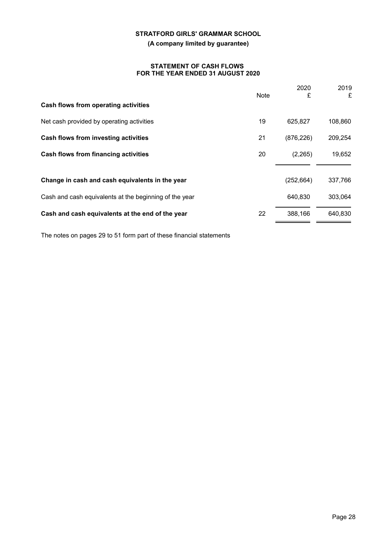**(A company limited by guarantee)**

#### **STATEMENT OF CASH FLOWS FOR THE YEAR ENDED 31 AUGUST 2020**

| 19<br>625,827<br>21<br>(876, 226)<br>(2,265)<br>20<br>Change in cash and cash equivalents in the year<br>(252, 664)<br>337,766<br>640,830<br>22<br>388,166 |                                                        | Note | 2020<br>£ | 2019<br>£ |
|------------------------------------------------------------------------------------------------------------------------------------------------------------|--------------------------------------------------------|------|-----------|-----------|
|                                                                                                                                                            | Cash flows from operating activities                   |      |           |           |
|                                                                                                                                                            | Net cash provided by operating activities              |      |           | 108,860   |
|                                                                                                                                                            | Cash flows from investing activities                   |      |           | 209,254   |
|                                                                                                                                                            | <b>Cash flows from financing activities</b>            |      |           | 19,652    |
|                                                                                                                                                            |                                                        |      |           |           |
|                                                                                                                                                            |                                                        |      |           |           |
|                                                                                                                                                            | Cash and cash equivalents at the beginning of the year |      |           | 303,064   |
|                                                                                                                                                            | Cash and cash equivalents at the end of the year       |      |           | 640,830   |

The notes on pages 29 to 51 form part of these financial statements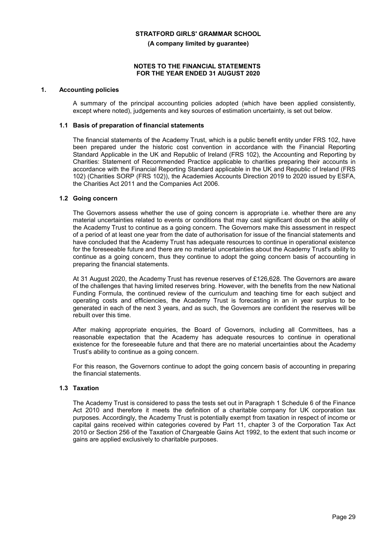**(A company limited by guarantee)**

#### **NOTES TO THE FINANCIAL STATEMENTS FOR THE YEAR ENDED 31 AUGUST 2020**

#### **1. Accounting policies**

A summary of the principal accounting policies adopted (which have been applied consistently, except where noted), judgements and key sources of estimation uncertainty, is set out below.

#### **1.1 Basis of preparation of financial statements**

The financial statements of the Academy Trust, which is a public benefit entity under FRS 102, have been prepared under the historic cost convention in accordance with the Financial Reporting Standard Applicable in the UK and Republic of Ireland (FRS 102), the Accounting and Reporting by Charities: Statement of Recommended Practice applicable to charities preparing their accounts in accordance with the Financial Reporting Standard applicable in the UK and Republic of Ireland (FRS 102) (Charities SORP (FRS 102)), the Academies Accounts Direction 2019 to 2020 issued by ESFA, the Charities Act 2011 and the Companies Act 2006.

#### **1.2 Going concern**

The Governors assess whether the use of going concern is appropriate i.e. whether there are any material uncertainties related to events or conditions that may cast significant doubt on the ability of the Academy Trust to continue as a going concern. The Governors make this assessment in respect of a period of at least one year from the date of authorisation for issue of the financial statements and have concluded that the Academy Trust has adequate resources to continue in operational existence for the foreseeable future and there are no material uncertainties about the Academy Trust's ability to continue as a going concern, thus they continue to adopt the going concern basis of accounting in preparing the financial statements.

At 31 August 2020, the Academy Trust has revenue reserves of £126,628. The Governors are aware of the challenges that having limited reserves bring. However, with the benefits from the new National Funding Formula, the continued review of the curriculum and teaching time for each subject and operating costs and efficiencies, the Academy Trust is forecasting in an in year surplus to be generated in each of the next 3 years, and as such, the Governors are confident the reserves will be rebuilt over this time.

After making appropriate enquiries, the Board of Governors, including all Committees, has a reasonable expectation that the Academy has adequate resources to continue in operational existence for the foreseeable future and that there are no material uncertainties about the Academy Trust's ability to continue as a going concern.

For this reason, the Governors continue to adopt the going concern basis of accounting in preparing the financial statements.

# **1.3 Taxation**

The Academy Trust is considered to pass the tests set out in Paragraph 1 Schedule 6 of the Finance Act 2010 and therefore it meets the definition of a charitable company for UK corporation tax purposes. Accordingly, the Academy Trust is potentially exempt from taxation in respect of income or capital gains received within categories covered by Part 11, chapter 3 of the Corporation Tax Act 2010 or Section 256 of the Taxation of Chargeable Gains Act 1992, to the extent that such income or gains are applied exclusively to charitable purposes.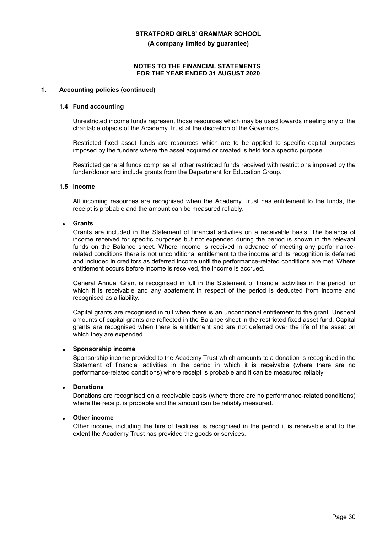**(A company limited by guarantee)**

#### **NOTES TO THE FINANCIAL STATEMENTS FOR THE YEAR ENDED 31 AUGUST 2020**

#### **1. Accounting policies (continued)**

#### **1.4 Fund accounting**

Unrestricted income funds represent those resources which may be used towards meeting any of the charitable objects of the Academy Trust at the discretion of the Governors.

Restricted fixed asset funds are resources which are to be applied to specific capital purposes imposed by the funders where the asset acquired or created is held for a specific purpose.

Restricted general funds comprise all other restricted funds received with restrictions imposed by the funder/donor and include grants from the Department for Education Group.

#### **1.5 Income**

All incoming resources are recognised when the Academy Trust has entitlement to the funds, the receipt is probable and the amount can be measured reliably.

#### **Grants**

Grants are included in the Statement of financial activities on a receivable basis. The balance of income received for specific purposes but not expended during the period is shown in the relevant funds on the Balance sheet. Where income is received in advance of meeting any performancerelated conditions there is not unconditional entitlement to the income and its recognition is deferred and included in creditors as deferred income until the performance-related conditions are met. Where entitlement occurs before income is received, the income is accrued.

General Annual Grant is recognised in full in the Statement of financial activities in the period for which it is receivable and any abatement in respect of the period is deducted from income and recognised as a liability.

Capital grants are recognised in full when there is an unconditional entitlement to the grant. Unspent amounts of capital grants are reflected in the Balance sheet in the restricted fixed asset fund. Capital grants are recognised when there is entitlement and are not deferred over the life of the asset on which they are expended.

#### **Sponsorship income**

Sponsorship income provided to the Academy Trust which amounts to a donation is recognised in the Statement of financial activities in the period in which it is receivable (where there are no performance-related conditions) where receipt is probable and it can be measured reliably.

#### **Donations**

Donations are recognised on a receivable basis (where there are no performance-related conditions) where the receipt is probable and the amount can be reliably measured.

#### **Other income**

Other income, including the hire of facilities, is recognised in the period it is receivable and to the extent the Academy Trust has provided the goods or services.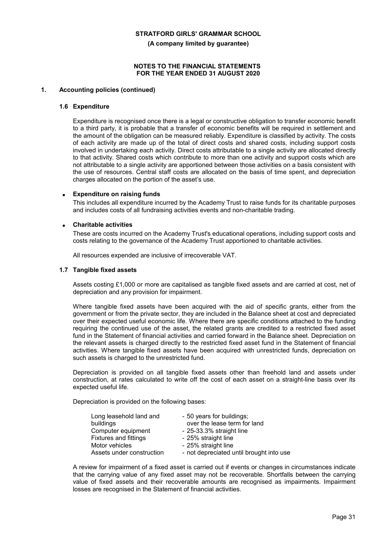**(A company limited by guarantee)**

#### **NOTES TO THE FINANCIAL STATEMENTS FOR THE YEAR ENDED 31 AUGUST 2020**

### **1. Accounting policies (continued)**

#### **1.6 Expenditure**

Expenditure is recognised once there is a legal or constructive obligation to transfer economic benefit to a third party, it is probable that a transfer of economic benefits will be required in settlement and the amount of the obligation can be measured reliably. Expenditure is classified by activity. The costs of each activity are made up of the total of direct costs and shared costs, including support costs involved in undertaking each activity. Direct costs attributable to a single activity are allocated directly to that activity. Shared costs which contribute to more than one activity and support costs which are not attributable to a single activity are apportioned between those activities on a basis consistent with the use of resources. Central staff costs are allocated on the basis of time spent, and depreciation charges allocated on the portion of the asset's use.

#### **Expenditure on raising funds**

This includes all expenditure incurred by the Academy Trust to raise funds for its charitable purposes and includes costs of all fundraising activities events and non-charitable trading.

#### **Charitable activities**

These are costs incurred on the Academy Trust's educational operations, including support costs and costs relating to the governance of the Academy Trust apportioned to charitable activities.

All resources expended are inclusive of irrecoverable VAT.

#### **1.7 Tangible fixed assets**

Assets costing £1,000 or more are capitalised as tangible fixed assets and are carried at cost, net of depreciation and any provision for impairment.

Where tangible fixed assets have been acquired with the aid of specific grants, either from the government or from the private sector, they are included in the Balance sheet at cost and depreciated over their expected useful economic life. Where there are specific conditions attached to the funding requiring the continued use of the asset, the related grants are credited to a restricted fixed asset fund in the Statement of financial activities and carried forward in the Balance sheet. Depreciation on the relevant assets is charged directly to the restricted fixed asset fund in the Statement of financial activities. Where tangible fixed assets have been acquired with unrestricted funds, depreciation on such assets is charged to the unrestricted fund.

Depreciation is provided on all tangible fixed assets other than freehold land and assets under construction, at rates calculated to write off the cost of each asset on a straight-line basis over its expected useful life.

Depreciation is provided on the following bases:

| - 25% straight line<br>Motor vehicles<br>Assets under construction | Long leasehold land and<br>buildings<br>Computer equipment<br><b>Fixtures and fittings</b> | - 50 years for buildings;<br>over the lease term for land<br>$-25-33.3%$ straight line<br>- 25% straight line<br>- not depreciated until brought into use |
|--------------------------------------------------------------------|--------------------------------------------------------------------------------------------|-----------------------------------------------------------------------------------------------------------------------------------------------------------|
|--------------------------------------------------------------------|--------------------------------------------------------------------------------------------|-----------------------------------------------------------------------------------------------------------------------------------------------------------|

A review for impairment of a fixed asset is carried out if events or changes in circumstances indicate that the carrying value of any fixed asset may not be recoverable. Shortfalls between the carrying value of fixed assets and their recoverable amounts are recognised as impairments. Impairment losses are recognised in the Statement of financial activities.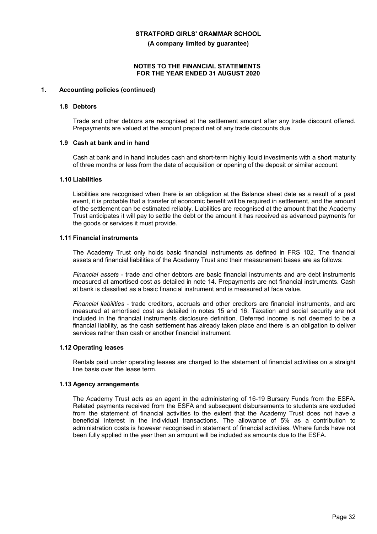**(A company limited by guarantee)**

#### **NOTES TO THE FINANCIAL STATEMENTS FOR THE YEAR ENDED 31 AUGUST 2020**

#### **1. Accounting policies (continued)**

#### **1.8 Debtors**

Trade and other debtors are recognised at the settlement amount after any trade discount offered. Prepayments are valued at the amount prepaid net of any trade discounts due.

#### **1.9 Cash at bank and in hand**

Cash at bank and in hand includes cash and short-term highly liquid investments with a short maturity of three months or less from the date of acquisition or opening of the deposit or similar account.

#### **1.10 Liabilities**

Liabilities are recognised when there is an obligation at the Balance sheet date as a result of a past event, it is probable that a transfer of economic benefit will be required in settlement, and the amount of the settlement can be estimated reliably. Liabilities are recognised at the amount that the Academy Trust anticipates it will pay to settle the debt or the amount it has received as advanced payments for the goods or services it must provide.

#### **1.11 Financial instruments**

The Academy Trust only holds basic financial instruments as defined in FRS 102. The financial assets and financial liabilities of the Academy Trust and their measurement bases are as follows:

*Financial assets* - trade and other debtors are basic financial instruments and are debt instruments measured at amortised cost as detailed in note 14. Prepayments are not financial instruments. Cash at bank is classified as a basic financial instrument and is measured at face value.

*Financial liabilities* - trade creditors, accruals and other creditors are financial instruments, and are measured at amortised cost as detailed in notes 15 and 16. Taxation and social security are not included in the financial instruments disclosure definition. Deferred income is not deemed to be a financial liability, as the cash settlement has already taken place and there is an obligation to deliver services rather than cash or another financial instrument.

#### **1.12 Operating leases**

Rentals paid under operating leases are charged to the statement of financial activities on a straight line basis over the lease term.

#### **1.13 Agency arrangements**

The Academy Trust acts as an agent in the administering of 16-19 Bursary Funds from the ESFA. Related payments received from the ESFA and subsequent disbursements to students are excluded from the statement of financial activities to the extent that the Academy Trust does not have a beneficial interest in the individual transactions. The allowance of 5% as a contribution to administration costs is however recognised in statement of financial activities. Where funds have not been fully applied in the year then an amount will be included as amounts due to the ESFA.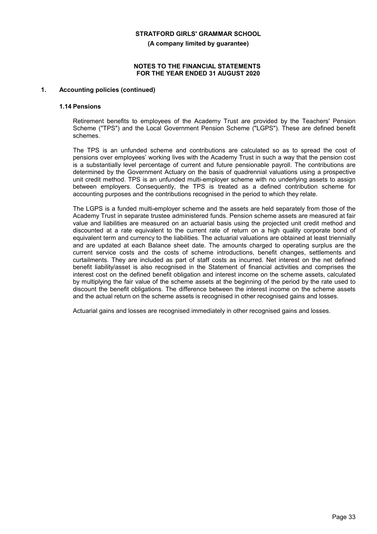**(A company limited by guarantee)**

#### **NOTES TO THE FINANCIAL STATEMENTS FOR THE YEAR ENDED 31 AUGUST 2020**

# **1. Accounting policies (continued)**

#### **1.14 Pensions**

Retirement benefits to employees of the Academy Trust are provided by the Teachers' Pension Scheme ("TPS") and the Local Government Pension Scheme ("LGPS"). These are defined benefit schemes.

The TPS is an unfunded scheme and contributions are calculated so as to spread the cost of pensions over employees' working lives with the Academy Trust in such a way that the pension cost is a substantially level percentage of current and future pensionable payroll. The contributions are determined by the Government Actuary on the basis of quadrennial valuations using a prospective unit credit method. TPS is an unfunded multi-employer scheme with no underlying assets to assign between employers. Consequently, the TPS is treated as a defined contribution scheme for accounting purposes and the contributions recognised in the period to which they relate.

The LGPS is a funded multi-employer scheme and the assets are held separately from those of the Academy Trust in separate trustee administered funds. Pension scheme assets are measured at fair value and liabilities are measured on an actuarial basis using the projected unit credit method and discounted at a rate equivalent to the current rate of return on a high quality corporate bond of equivalent term and currency to the liabilities. The actuarial valuations are obtained at least triennially and are updated at each Balance sheet date. The amounts charged to operating surplus are the current service costs and the costs of scheme introductions, benefit changes, settlements and curtailments. They are included as part of staff costs as incurred. Net interest on the net defined benefit liability/asset is also recognised in the Statement of financial activities and comprises the interest cost on the defined benefit obligation and interest income on the scheme assets, calculated by multiplying the fair value of the scheme assets at the beginning of the period by the rate used to discount the benefit obligations. The difference between the interest income on the scheme assets and the actual return on the scheme assets is recognised in other recognised gains and losses.

Actuarial gains and losses are recognised immediately in other recognised gains and losses.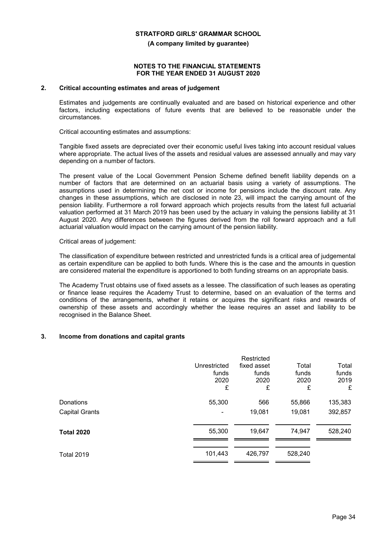**(A company limited by guarantee)**

#### **NOTES TO THE FINANCIAL STATEMENTS FOR THE YEAR ENDED 31 AUGUST 2020**

#### **2. Critical accounting estimates and areas of judgement**

Estimates and judgements are continually evaluated and are based on historical experience and other factors, including expectations of future events that are believed to be reasonable under the circumstances.

Critical accounting estimates and assumptions:

Tangible fixed assets are depreciated over their economic useful lives taking into account residual values where appropriate. The actual lives of the assets and residual values are assessed annually and may vary depending on a number of factors.

The present value of the Local Government Pension Scheme defined benefit liability depends on a number of factors that are determined on an actuarial basis using a variety of assumptions. The assumptions used in determining the net cost or income for pensions include the discount rate. Any changes in these assumptions, which are disclosed in note 23, will impact the carrying amount of the pension liability. Furthermore a roll forward approach which projects results from the latest full actuarial valuation performed at 31 March 2019 has been used by the actuary in valuing the pensions liability at 31 August 2020. Any differences between the figures derived from the roll forward approach and a full actuarial valuation would impact on the carrying amount of the pension liability.

#### Critical areas of judgement:

The classification of expenditure between restricted and unrestricted funds is a critical area of judgemental as certain expenditure can be applied to both funds. Where this is the case and the amounts in question are considered material the expenditure is apportioned to both funding streams on an appropriate basis.

The Academy Trust obtains use of fixed assets as a lessee. The classification of such leases as operating or finance lease requires the Academy Trust to determine, based on an evaluation of the terms and conditions of the arrangements, whether it retains or acquires the significant risks and rewards of ownership of these assets and accordingly whether the lease requires an asset and liability to be recognised in the Balance Sheet.

#### **3. Income from donations and capital grants**

|                       | Unrestricted<br>funds<br>2020<br>£ | Restricted<br>fixed asset<br>funds<br>2020<br>£ | Total<br>funds<br>2020<br>£ | Total<br>funds<br>2019<br>£ |
|-----------------------|------------------------------------|-------------------------------------------------|-----------------------------|-----------------------------|
| Donations             | 55,300                             | 566                                             | 55,866                      | 135,383                     |
| <b>Capital Grants</b> | ٠                                  | 19,081                                          | 19,081                      | 392,857                     |
| <b>Total 2020</b>     | 55,300                             | 19,647                                          | 74,947                      | 528,240                     |
| <b>Total 2019</b>     | 101,443                            | 426,797                                         | 528,240                     |                             |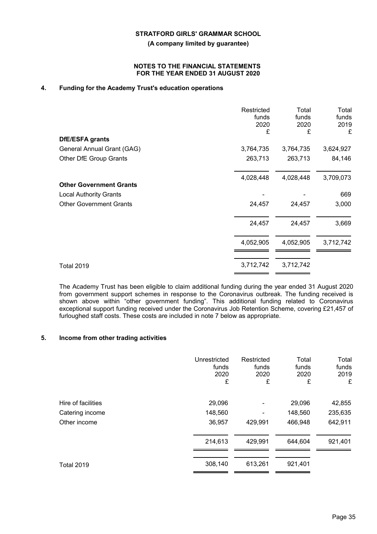**(A company limited by guarantee)**

#### **NOTES TO THE FINANCIAL STATEMENTS FOR THE YEAR ENDED 31 AUGUST 2020**

# **4. Funding for the Academy Trust's education operations**

| Restricted<br>funds<br>2020 | Total<br>funds<br>2020 | Total<br>funds<br>2019<br>£ |
|-----------------------------|------------------------|-----------------------------|
|                             |                        |                             |
| 3,764,735                   | 3,764,735              | 3,624,927                   |
| 263,713                     | 263,713                | 84,146                      |
| 4,028,448                   | 4,028,448              | 3,709,073                   |
|                             |                        |                             |
|                             |                        | 669                         |
| 24,457                      | 24,457                 | 3,000                       |
| 24,457                      | 24,457                 | 3,669                       |
| 4,052,905                   | 4,052,905              | 3,712,742                   |
| 3,712,742                   | 3,712,742              |                             |
|                             | £                      | £                           |

The Academy Trust has been eligible to claim additional funding during the year ended 31 August 2020 from government support schemes in response to the Coronavirus outbreak. The funding received is shown above within "other government funding". This additional funding related to Coronavirus exceptional support funding received under the Coronavirus Job Retention Scheme, covering £21,457 of furloughed staff costs. These costs are included in note 7 below as appropriate.

# **5. Income from other trading activities**

|                    | Unrestricted<br>funds<br>2020<br>£ | Restricted<br>funds<br>2020<br>£ | Total<br>funds<br>2020<br>£ | Total<br>funds<br>2019<br>£ |
|--------------------|------------------------------------|----------------------------------|-----------------------------|-----------------------------|
| Hire of facilities | 29,096                             |                                  | 29,096                      | 42,855                      |
| Catering income    | 148,560                            |                                  | 148,560                     | 235,635                     |
| Other income       | 36,957                             | 429,991                          | 466,948                     | 642,911                     |
|                    | 214,613                            | 429,991                          | 644,604                     | 921,401                     |
| <b>Total 2019</b>  | 308,140                            | 613,261                          | 921,401                     |                             |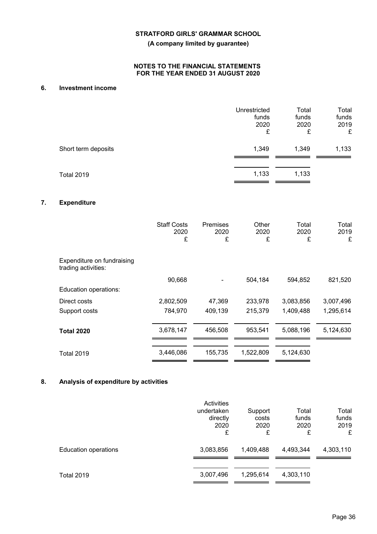**(A company limited by guarantee)**

# **NOTES TO THE FINANCIAL STATEMENTS FOR THE YEAR ENDED 31 AUGUST 2020**

# **6. Investment income**

|                     | Unrestricted<br>funds<br>2020<br>£ | Total<br>funds<br>2020<br>£ | Total<br>funds<br>2019<br>£ |
|---------------------|------------------------------------|-----------------------------|-----------------------------|
| Short term deposits | 1,349                              | 1,349                       | 1,133                       |
| <b>Total 2019</b>   | 1,133                              | 1,133                       |                             |

# **7. Expenditure**

|                                                   | <b>Staff Costs</b><br>2020<br>£ | <b>Premises</b><br>2020<br>£ | Other<br>2020<br>£ | Total<br>2020<br>£ | Total<br>2019<br>£ |
|---------------------------------------------------|---------------------------------|------------------------------|--------------------|--------------------|--------------------|
| Expenditure on fundraising<br>trading activities: |                                 |                              |                    |                    |                    |
|                                                   | 90,668                          |                              | 504,184            | 594,852            | 821,520            |
| Education operations:                             |                                 |                              |                    |                    |                    |
| Direct costs                                      | 2,802,509                       | 47,369                       | 233,978            | 3,083,856          | 3,007,496          |
| Support costs                                     | 784,970                         | 409,139                      | 215,379            | 1,409,488          | 1,295,614          |
| <b>Total 2020</b>                                 | 3,678,147                       | 456,508                      | 953,541            | 5,088,196          | 5,124,630          |
| Total 2019                                        | 3,446,086                       | 155,735                      | 1,522,809          | 5,124,630          |                    |

# **8. Analysis of expenditure by activities**

|                             | Activities<br>undertaken<br>directly<br>2020<br>£ | Support<br>costs<br>2020<br>£ | Total<br>funds<br>2020<br>£ | Total<br>funds<br>2019<br>£ |
|-----------------------------|---------------------------------------------------|-------------------------------|-----------------------------|-----------------------------|
| <b>Education operations</b> | 3,083,856                                         | 1,409,488                     | 4,493,344                   | 4,303,110                   |
| <b>Total 2019</b>           | 3,007,496                                         | 1,295,614                     | 4,303,110                   |                             |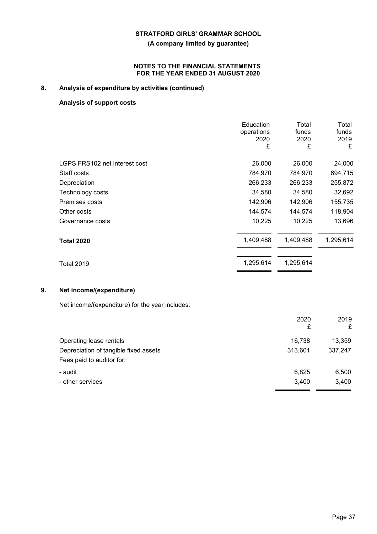**(A company limited by guarantee)**

# **NOTES TO THE FINANCIAL STATEMENTS FOR THE YEAR ENDED 31 AUGUST 2020**

# **8. Analysis of expenditure by activities (continued)**

# **Analysis of support costs**

|                               | Education<br>operations<br>2020<br>£ | Total<br>funds<br>2020<br>£ | Total<br>funds<br>2019<br>£ |
|-------------------------------|--------------------------------------|-----------------------------|-----------------------------|
| LGPS FRS102 net interest cost | 26,000                               | 26,000                      | 24,000                      |
| Staff costs                   | 784,970                              | 784,970                     | 694,715                     |
| Depreciation                  | 266,233                              | 266,233                     | 255,872                     |
| Technology costs              | 34,580                               | 34,580                      | 32,692                      |
| Premises costs                | 142,906                              | 142,906                     | 155,735                     |
| Other costs                   | 144,574                              | 144,574                     | 118,904                     |
| Governance costs              | 10,225                               | 10,225                      | 13,696                      |
| <b>Total 2020</b>             | 1,409,488                            | 1,409,488                   | 1,295,614                   |
| Total 2019                    | 1,295,614                            | 1,295,614                   |                             |

# **9. Net income/(expenditure)**

Net income/(expenditure) for the year includes:

| 2020<br>£ | 2019<br>£ |
|-----------|-----------|
| 16,738    | 13,359    |
| 313,601   | 337,247   |
|           |           |
| 6,825     | 6,500     |
| 3,400     | 3,400     |
|           |           |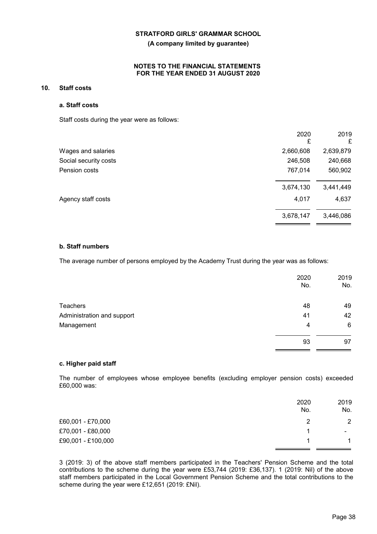#### **(A company limited by guarantee)**

#### **NOTES TO THE FINANCIAL STATEMENTS FOR THE YEAR ENDED 31 AUGUST 2020**

# **10. Staff costs**

#### **a. Staff costs**

Staff costs during the year were as follows:

|                       | 2020<br>£ | 2019<br>£ |
|-----------------------|-----------|-----------|
| Wages and salaries    | 2,660,608 | 2,639,879 |
| Social security costs | 246,508   | 240,668   |
| Pension costs         | 767,014   | 560,902   |
|                       | 3,674,130 | 3,441,449 |
| Agency staff costs    | 4,017     | 4,637     |
|                       | 3,678,147 | 3,446,086 |

# **b. Staff numbers**

The average number of persons employed by the Academy Trust during the year was as follows:

|                            | 2020<br>No. | 2019<br>No. |
|----------------------------|-------------|-------------|
| <b>Teachers</b>            | 48          | 49          |
| Administration and support | 41          | 42          |
| Management                 | 4           | 6           |
|                            | 93          | 97          |
|                            |             |             |

#### **c. Higher paid staff**

The number of employees whose employee benefits (excluding employer pension costs) exceeded £60,000 was:

|                    | 2020<br>No. | 2019<br>No.    |
|--------------------|-------------|----------------|
| £60,001 - £70,000  | 2           | $\overline{2}$ |
| £70,001 - £80,000  |             | -              |
| £90,001 - £100,000 |             |                |

3 (2019: 3) of the above staff members participated in the Teachers' Pension Scheme and the total contributions to the scheme during the year were £53,744 (2019: £36,137). 1 (2019: Nil) of the above staff members participated in the Local Government Pension Scheme and the total contributions to the scheme during the year were £12,651 (2019: £Nil).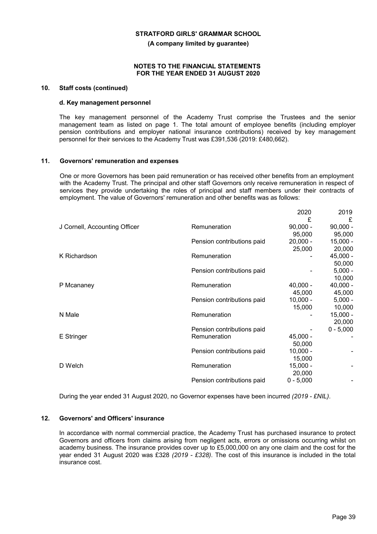**(A company limited by guarantee)**

#### **NOTES TO THE FINANCIAL STATEMENTS FOR THE YEAR ENDED 31 AUGUST 2020**

#### **10. Staff costs (continued)**

#### **d. Key management personnel**

The key management personnel of the Academy Trust comprise the Trustees and the senior management team as listed on page 1. The total amount of employee benefits (including employer pension contributions and employer national insurance contributions) received by key management personnel for their services to the Academy Trust was £391,536 (2019: £480,662).

#### **11. Governors' remuneration and expenses**

One or more Governors has been paid remuneration or has received other benefits from an employment with the Academy Trust. The principal and other staff Governors only receive remuneration in respect of services they provide undertaking the roles of principal and staff members under their contracts of employment. The value of Governors' remuneration and other benefits was as follows:

|                               |                            | ZUZU<br>£   | 20 I J<br>£ |
|-------------------------------|----------------------------|-------------|-------------|
| J Cornell, Accounting Officer | Remuneration               | $90,000 -$  | $90,000 -$  |
|                               |                            | 95,000      | 95,000      |
|                               | Pension contributions paid | $20,000 -$  | $15,000 -$  |
|                               |                            | 25,000      | 20,000      |
| K Richardson                  | Remuneration               |             | $45,000 -$  |
|                               |                            |             | 50,000      |
|                               | Pension contributions paid |             | $5,000 -$   |
|                               |                            |             | 10,000      |
| P Mcananey                    | Remuneration               | $40,000 -$  | $40,000 -$  |
|                               |                            | 45,000      | 45,000      |
|                               | Pension contributions paid | $10,000 -$  | $5,000 -$   |
|                               |                            | 15,000      | 10,000      |
| N Male                        | Remuneration               |             | $15,000 -$  |
|                               |                            |             | 20,000      |
|                               | Pension contributions paid |             | $0 - 5,000$ |
| E Stringer                    | Remuneration               | $45,000 -$  |             |
|                               |                            | 50,000      |             |
|                               | Pension contributions paid | $10,000 -$  |             |
|                               |                            | 15,000      |             |
| D Welch                       | Remuneration               | $15,000 -$  |             |
|                               |                            | 20,000      |             |
|                               | Pension contributions paid | $0 - 5,000$ |             |

During the year ended 31 August 2020, no Governor expenses have been incurred *(2019 - £NIL)*.

#### **12. Governors' and Officers' insurance**

In accordance with normal commercial practice, the Academy Trust has purchased insurance to protect Governors and officers from claims arising from negligent acts, errors or omissions occurring whilst on academy business. The insurance provides cover up to £5,000,000 on any one claim and the cost for the year ended 31 August 2020 was £328 *(2019 - £328)*. The cost of this insurance is included in the total insurance cost.

2020 2019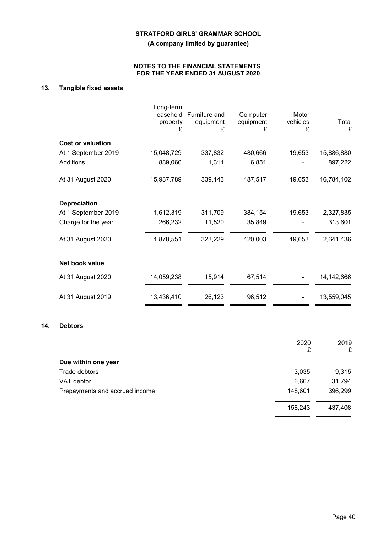**(A company limited by guarantee)**

# **NOTES TO THE FINANCIAL STATEMENTS FOR THE YEAR ENDED 31 AUGUST 2020**

# **13. Tangible fixed assets**

|                          | Long-term<br>leasehold<br>property<br>£ | Furniture and<br>equipment<br>£ | Computer<br>equipment<br>£ | Motor<br>vehicles<br>£ | Total<br>£ |
|--------------------------|-----------------------------------------|---------------------------------|----------------------------|------------------------|------------|
| <b>Cost or valuation</b> |                                         |                                 |                            |                        |            |
| At 1 September 2019      | 15,048,729                              | 337,832                         | 480,666                    | 19,653                 | 15,886,880 |
| <b>Additions</b>         | 889,060                                 | 1,311                           | 6,851                      |                        | 897,222    |
| At 31 August 2020        | 15,937,789                              | 339,143                         | 487,517                    | 19,653                 | 16,784,102 |
| <b>Depreciation</b>      |                                         |                                 |                            |                        |            |
| At 1 September 2019      | 1,612,319                               | 311,709                         | 384,154                    | 19,653                 | 2,327,835  |
| Charge for the year      | 266,232                                 | 11,520                          | 35,849                     |                        | 313,601    |
| At 31 August 2020        | 1,878,551                               | 323,229                         | 420,003                    | 19,653                 | 2,641,436  |
| Net book value           |                                         |                                 |                            |                        |            |
| At 31 August 2020        | 14,059,238                              | 15,914                          | 67,514                     |                        | 14,142,666 |
| At 31 August 2019        | 13,436,410                              | 26,123                          | 96,512                     |                        | 13,559,045 |

#### **14. Debtors**

|                                | 2020<br>£ | 2019<br>£ |
|--------------------------------|-----------|-----------|
| Due within one year            |           |           |
| Trade debtors                  | 3,035     | 9,315     |
| VAT debtor                     | 6,607     | 31,794    |
| Prepayments and accrued income | 148,601   | 396,299   |
|                                | 158,243   | 437,408   |

L

 $=$   $=$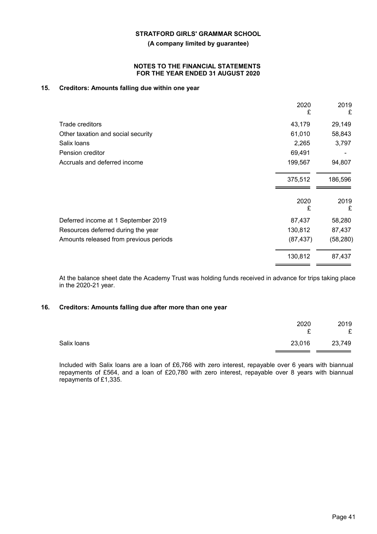**(A company limited by guarantee)**

#### **NOTES TO THE FINANCIAL STATEMENTS FOR THE YEAR ENDED 31 AUGUST 2020**

# **15. Creditors: Amounts falling due within one year**

|                                        | 2020<br>£ | 2019<br>£ |
|----------------------------------------|-----------|-----------|
| Trade creditors                        | 43,179    | 29,149    |
| Other taxation and social security     | 61,010    | 58,843    |
| Salix loans                            | 2,265     | 3,797     |
| Pension creditor                       | 69,491    |           |
| Accruals and deferred income           | 199,567   | 94,807    |
|                                        | 375,512   | 186,596   |
|                                        | 2020<br>£ | 2019<br>£ |
| Deferred income at 1 September 2019    | 87,437    | 58,280    |
| Resources deferred during the year     | 130,812   | 87,437    |
| Amounts released from previous periods | (87, 437) | (58, 280) |
|                                        | 130,812   | 87,437    |

At the balance sheet date the Academy Trust was holding funds received in advance for trips taking place in the 2020-21 year.

#### **16. Creditors: Amounts falling due after more than one year**

|             | 2020<br>⌒<br>- | 2019<br>£ |
|-------------|----------------|-----------|
| Salix Ioans | 23,016         | 23,749    |

Included with Salix loans are a loan of £6,766 with zero interest, repayable over 6 years with biannual repayments of £564, and a loan of £20,780 with zero interest, repayable over 8 years with biannual repayments of £1,335.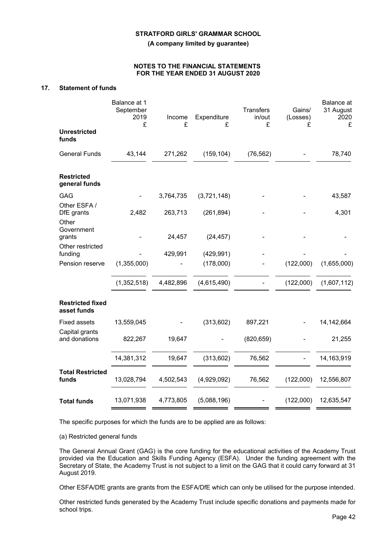**(A company limited by guarantee)**

#### **NOTES TO THE FINANCIAL STATEMENTS FOR THE YEAR ENDED 31 AUGUST 2020**

# **17. Statement of funds**

|                                        | Balance at 1<br>September<br>2019<br>£ | Income<br>£ | Expenditure<br>£ | <b>Transfers</b><br>in/out<br>£ | Gains/<br>(Losses)<br>£ | Balance at<br>31 August<br>2020<br>£ |
|----------------------------------------|----------------------------------------|-------------|------------------|---------------------------------|-------------------------|--------------------------------------|
| <b>Unrestricted</b><br>funds           |                                        |             |                  |                                 |                         |                                      |
| <b>General Funds</b>                   | 43,144                                 | 271,262     | (159, 104)       | (76, 562)                       |                         | 78,740                               |
| <b>Restricted</b><br>general funds     |                                        |             |                  |                                 |                         |                                      |
| <b>GAG</b>                             |                                        | 3,764,735   | (3,721,148)      |                                 |                         | 43,587                               |
| Other ESFA /<br>DfE grants             | 2,482                                  | 263,713     | (261, 894)       |                                 |                         | 4,301                                |
| Other<br>Government<br>grants          |                                        | 24,457      | (24, 457)        |                                 |                         |                                      |
| Other restricted<br>funding            |                                        | 429,991     | (429, 991)       |                                 |                         |                                      |
| Pension reserve                        | (1,355,000)                            |             | (178,000)        |                                 | (122,000)               | (1,655,000)                          |
|                                        | (1,352,518)                            | 4,482,896   | (4,615,490)      |                                 | (122,000)               | (1,607,112)                          |
| <b>Restricted fixed</b><br>asset funds |                                        |             |                  |                                 |                         |                                      |
| <b>Fixed assets</b>                    | 13,559,045                             |             | (313,602)        | 897,221                         |                         | 14, 142, 664                         |
| Capital grants<br>and donations        | 822,267                                | 19,647      |                  | (820, 659)                      |                         | 21,255                               |
|                                        | 14,381,312                             | 19,647      | (313,602)        | 76,562                          |                         | 14,163,919                           |
| <b>Total Restricted</b><br>funds       | 13,028,794                             | 4,502,543   | (4,929,092)      | 76,562                          | (122,000)               | 12,556,807                           |
| <b>Total funds</b>                     | 13,071,938                             | 4,773,805   | (5,088,196)      |                                 | (122,000)               | 12,635,547                           |

The specific purposes for which the funds are to be applied are as follows:

(a) Restricted general funds

The General Annual Grant (GAG) is the core funding for the educational activities of the Academy Trust provided via the Education and Skills Funding Agency (ESFA). Under the funding agreement with the Secretary of State, the Academy Trust is not subject to a limit on the GAG that it could carry forward at 31 August 2019.

Other ESFA/DfE grants are grants from the ESFA/DfE which can only be utilised for the purpose intended.

Other restricted funds generated by the Academy Trust include specific donations and payments made for school trips.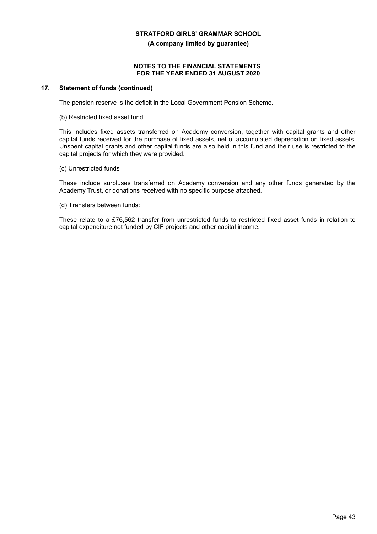**(A company limited by guarantee)**

#### **NOTES TO THE FINANCIAL STATEMENTS FOR THE YEAR ENDED 31 AUGUST 2020**

# **17. Statement of funds (continued)**

The pension reserve is the deficit in the Local Government Pension Scheme.

#### (b) Restricted fixed asset fund

This includes fixed assets transferred on Academy conversion, together with capital grants and other capital funds received for the purchase of fixed assets, net of accumulated depreciation on fixed assets. Unspent capital grants and other capital funds are also held in this fund and their use is restricted to the capital projects for which they were provided.

(c) Unrestricted funds

These include surpluses transferred on Academy conversion and any other funds generated by the Academy Trust, or donations received with no specific purpose attached.

(d) Transfers between funds:

These relate to a £76,562 transfer from unrestricted funds to restricted fixed asset funds in relation to capital expenditure not funded by CIF projects and other capital income.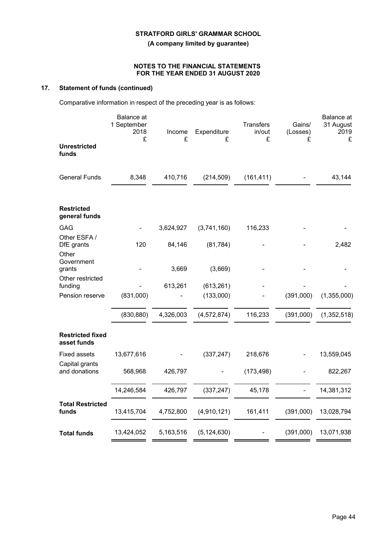**(A company limited by guarantee)**

## **NOTES TO THE FINANCIAL STATEMENTS FOR THE YEAR ENDED 31 AUGUST 2020**

# **17. Statement of funds (continued)**

Comparative information in respect of the preceding year is as follows:

|                                        | Balance at<br>1 September<br>2018<br>£ | Income<br>£ | Expenditure<br>£ | <b>Transfers</b><br>in/out<br>£ | Gains/<br>(Losses)<br>£ | Balance at<br>31 August<br>2019<br>£ |
|----------------------------------------|----------------------------------------|-------------|------------------|---------------------------------|-------------------------|--------------------------------------|
| <b>Unrestricted</b><br>funds           |                                        |             |                  |                                 |                         |                                      |
| <b>General Funds</b>                   | 8,348                                  | 410,716     | (214, 509)       | (161, 411)                      |                         | 43,144                               |
| <b>Restricted</b><br>general funds     |                                        |             |                  |                                 |                         |                                      |
| <b>GAG</b>                             |                                        | 3,624,927   | (3,741,160)      | 116,233                         |                         |                                      |
| Other ESFA /<br>DfE grants<br>Other    | 120                                    | 84,146      | (81, 784)        |                                 |                         | 2,482                                |
| Government<br>grants                   |                                        | 3,669       | (3,669)          |                                 |                         |                                      |
| Other restricted<br>funding            |                                        | 613,261     | (613, 261)       |                                 |                         |                                      |
| Pension reserve                        | (831,000)                              |             | (133,000)        |                                 | (391,000)               | (1,355,000)                          |
|                                        | (830, 880)                             | 4,326,003   | (4, 572, 874)    | 116,233                         | (391,000)               | (1,352,518)                          |
| <b>Restricted fixed</b><br>asset funds |                                        |             |                  |                                 |                         |                                      |
| <b>Fixed assets</b>                    | 13,677,616                             |             | (337, 247)       | 218,676                         |                         | 13,559,045                           |
| Capital grants<br>and donations        | 568,968                                | 426,797     |                  | (173, 498)                      |                         | 822,267                              |
|                                        | 14,246,584                             | 426,797     | (337, 247)       | 45,178                          |                         | 14,381,312                           |
| <b>Total Restricted</b><br>funds       | 13,415,704                             | 4,752,800   | (4,910,121)      | 161,411                         | (391,000)               | 13,028,794                           |
| <b>Total funds</b>                     | 13,424,052                             | 5,163,516   | (5, 124, 630)    |                                 | (391,000)               | 13,071,938                           |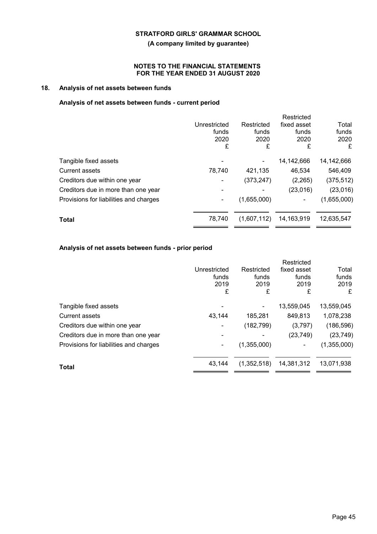**(A company limited by guarantee)**

# **NOTES TO THE FINANCIAL STATEMENTS FOR THE YEAR ENDED 31 AUGUST 2020**

# **18. Analysis of net assets between funds**

# **Analysis of net assets between funds - current period**

|                                        |              |             | Restricted  |             |
|----------------------------------------|--------------|-------------|-------------|-------------|
|                                        | Unrestricted | Restricted  | fixed asset | Total       |
|                                        | funds        | funds       | funds       | funds       |
|                                        | 2020         | 2020        | 2020        | 2020        |
|                                        | £            | £           | £           | £           |
| Tangible fixed assets                  |              |             | 14,142,666  | 14,142,666  |
| <b>Current assets</b>                  | 78,740       | 421,135     | 46,534      | 546,409     |
| Creditors due within one year          |              | (373, 247)  | (2, 265)    | (375, 512)  |
| Creditors due in more than one year    |              |             | (23,016)    | (23, 016)   |
| Provisions for liabilities and charges |              | (1,655,000) |             | (1,655,000) |
| <b>Total</b>                           | 78,740       | (1,607,112) | 14,163,919  | 12,635,547  |
|                                        |              |             |             |             |

# **Analysis of net assets between funds - prior period**

|                                        |              |             | Restricted  |             |
|----------------------------------------|--------------|-------------|-------------|-------------|
|                                        | Unrestricted | Restricted  | fixed asset | Total       |
|                                        | funds        | funds       | funds       | funds       |
|                                        | 2019         | 2019        | 2019        | 2019        |
|                                        | £            | £           | £           | £           |
| Tangible fixed assets                  |              |             | 13,559,045  | 13,559,045  |
| Current assets                         | 43,144       | 185,281     | 849,813     | 1,078,238   |
| Creditors due within one year          |              | (182, 799)  | (3,797)     | (186, 596)  |
| Creditors due in more than one year    |              |             | (23, 749)   | (23, 749)   |
| Provisions for liabilities and charges |              | (1,355,000) |             | (1,355,000) |
| Total                                  | 43.144       | (1,352,518) | 14,381,312  | 13,071,938  |
|                                        |              |             |             |             |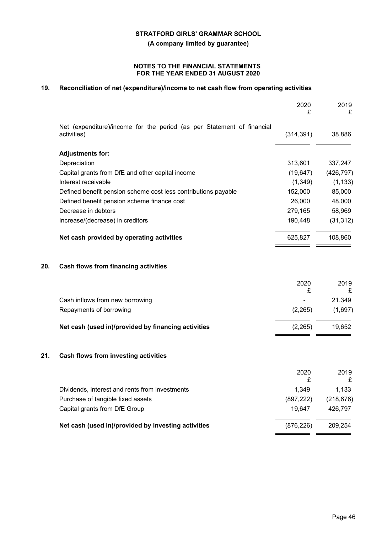**(A company limited by guarantee)**

### **NOTES TO THE FINANCIAL STATEMENTS FOR THE YEAR ENDED 31 AUGUST 2020**

# **19. Reconciliation of net (expenditure)/income to net cash flow from operating activities**

|                                                                                       | 2020<br>£                       | 2019<br>£  |
|---------------------------------------------------------------------------------------|---------------------------------|------------|
| Net (expenditure)/income for the period (as per Statement of financial<br>activities) | (314, 391)                      | 38,886     |
| <b>Adjustments for:</b>                                                               |                                 |            |
| Depreciation                                                                          | 313,601                         | 337,247    |
| Capital grants from DfE and other capital income                                      | (19, 647)                       | (426, 797) |
| Interest receivable                                                                   | (1,349)                         | (1, 133)   |
| Defined benefit pension scheme cost less contributions payable                        | 152,000                         | 85,000     |
| Defined benefit pension scheme finance cost                                           | 26,000                          | 48,000     |
| Decrease in debtors                                                                   | 279,165                         | 58,969     |
| Increase/(decrease) in creditors                                                      | 190,448                         | (31, 312)  |
| Net cash provided by operating activities                                             | 625,827                         | 108,860    |
| Cash flows from financing activities                                                  |                                 |            |
|                                                                                       | 2020                            | 2019<br>£  |
|                                                                                       |                                 | 21,349     |
| Repayments of borrowing                                                               | (2,265)                         | (1,697)    |
| Net cash (used in)/provided by financing activities                                   | (2, 265)                        | 19,652     |
| Cash flows from investing activities                                                  |                                 |            |
|                                                                                       | 2020                            | 2019<br>£  |
| Dividends, interest and rents from investments                                        | 1,349                           | 1,133      |
| Purchase of tangible fixed assets                                                     | (897, 222)                      | (218, 676) |
| Capital grants from DfE Group                                                         | 19,647                          | 426,797    |
| Net cash (used in)/provided by investing activities                                   | (876, 226)                      | 209,254    |
|                                                                                       | Cash inflows from new borrowing | £<br>£     |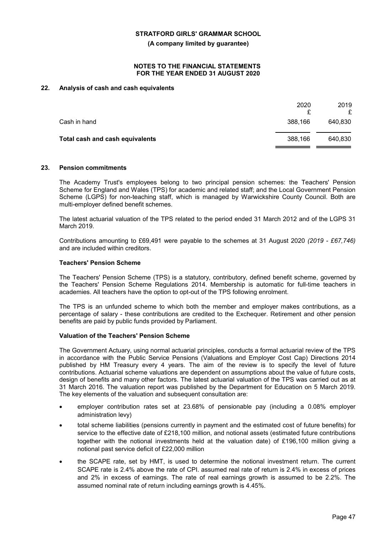**(A company limited by guarantee)**

#### **NOTES TO THE FINANCIAL STATEMENTS FOR THE YEAR ENDED 31 AUGUST 2020**

# **22. Analysis of cash and cash equivalents**

|                                 | 2020    | 2019<br>£ |
|---------------------------------|---------|-----------|
| Cash in hand                    | 388,166 | 640,830   |
| Total cash and cash equivalents | 388,166 | 640,830   |

#### **23. Pension commitments**

The Academy Trust's employees belong to two principal pension schemes: the Teachers' Pension Scheme for England and Wales (TPS) for academic and related staff; and the Local Government Pension Scheme (LGPS) for non-teaching staff, which is managed by Warwickshire County Council. Both are multi-employer defined benefit schemes.

The latest actuarial valuation of the TPS related to the period ended 31 March 2012 and of the LGPS 31 March 2019.

Contributions amounting to £69,491 were payable to the schemes at 31 August 2020 *(2019 - £67,746)* and are included within creditors.

#### **Teachers' Pension Scheme**

The Teachers' Pension Scheme (TPS) is a statutory, contributory, defined benefit scheme, governed by the Teachers' Pension Scheme Regulations 2014. Membership is automatic for full-time teachers in academies. All teachers have the option to opt-out of the TPS following enrolment.

The TPS is an unfunded scheme to which both the member and employer makes contributions, as a percentage of salary - these contributions are credited to the Exchequer. Retirement and other pension benefits are paid by public funds provided by Parliament.

#### **Valuation of the Teachers' Pension Scheme**

The Government Actuary, using normal actuarial principles, conducts a formal actuarial review of the TPS in accordance with the Public Service Pensions (Valuations and Employer Cost Cap) Directions 2014 published by HM Treasury every 4 years. The aim of the review is to specify the level of future contributions. Actuarial scheme valuations are dependent on assumptions about the value of future costs, design of benefits and many other factors. The latest actuarial valuation of the TPS was carried out as at 31 March 2016. The valuation report was published by the Department for Education on 5 March 2019. The key elements of the valuation and subsequent consultation are:

- employer contribution rates set at 23.68% of pensionable pay (including a 0.08% employer administration levy)
- total scheme liabilities (pensions currently in payment and the estimated cost of future benefits) for service to the effective date of £218,100 million, and notional assets (estimated future contributions together with the notional investments held at the valuation date) of £196,100 million giving a notional past service deficit of £22,000 million
- the SCAPE rate, set by HMT, is used to determine the notional investment return. The current SCAPE rate is 2.4% above the rate of CPI. assumed real rate of return is 2.4% in excess of prices and 2% in excess of earnings. The rate of real earnings growth is assumed to be 2.2%. The assumed nominal rate of return including earnings growth is 4.45%.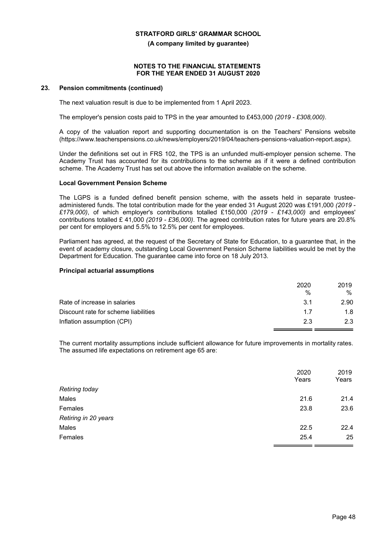**(A company limited by guarantee)**

#### **NOTES TO THE FINANCIAL STATEMENTS FOR THE YEAR ENDED 31 AUGUST 2020**

#### **23. Pension commitments (continued)**

The next valuation result is due to be implemented from 1 April 2023.

The employer's pension costs paid to TPS in the year amounted to £453,000 *(2019 - £308,000)*.

A copy of the valuation report and supporting documentation is on the Teachers' Pensions website (https://www.teacherspensions.co.uk/news/employers/2019/04/teachers-pensions-valuation-report.aspx).

Under the definitions set out in FRS 102, the TPS is an unfunded multi-employer pension scheme. The Academy Trust has accounted for its contributions to the scheme as if it were a defined contribution scheme. The Academy Trust has set out above the information available on the scheme.

#### **Local Government Pension Scheme**

The LGPS is a funded defined benefit pension scheme, with the assets held in separate trusteeadministered funds. The total contribution made for the year ended 31 August 2020 was £191,000 *(2019 - £179,000)*, of which employer's contributions totalled £150,000 *(2019 - £143,000)* and employees' contributions totalled £ 41,000 *(2019 - £36,000)*. The agreed contribution rates for future years are 20.8% per cent for employers and 5.5% to 12.5% per cent for employees.

Parliament has agreed, at the request of the Secretary of State for Education, to a guarantee that, in the event of academy closure, outstanding Local Government Pension Scheme liabilities would be met by the Department for Education. The guarantee came into force on 18 July 2013.

#### **Principal actuarial assumptions**

| 2020<br>$\%$ | 2019<br>% |
|--------------|-----------|
| 3.1          | 2.90      |
| 17           | 1.8       |
| 23           | 2.3       |
|              |           |

The current mortality assumptions include sufficient allowance for future improvements in mortality rates. The assumed life expectations on retirement age 65 are:

|                       | 2020  | 2019  |
|-----------------------|-------|-------|
|                       | Years | Years |
| <b>Retiring today</b> |       |       |
| Males                 | 21.6  | 21.4  |
| Females               | 23.8  | 23.6  |
| Retiring in 20 years  |       |       |
| Males                 | 22.5  | 22.4  |
| Females               | 25.4  | 25    |
|                       |       |       |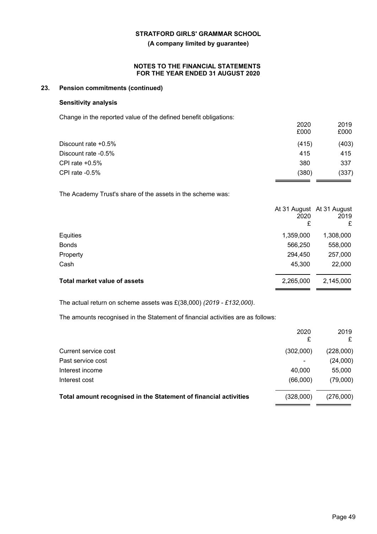#### **(A company limited by guarantee)**

#### **NOTES TO THE FINANCIAL STATEMENTS FOR THE YEAR ENDED 31 AUGUST 2020**

# **23. Pension commitments (continued)**

### **Sensitivity analysis**

Change in the reported value of the defined benefit obligations:

|                     | 2020<br>£000 | 2019<br>£000 |
|---------------------|--------------|--------------|
| Discount rate +0.5% | (415)        | (403)        |
| Discount rate -0.5% | 415          | 415          |
| CPI rate $+0.5%$    | 380          | 337          |
| CPI rate $-0.5%$    | (380)        | (337)        |

The Academy Trust's share of the assets in the scheme was:

|                                     | At 31 August At 31 August<br>2020<br>£ | 2019<br>£ |
|-------------------------------------|----------------------------------------|-----------|
| Equities                            | 1,359,000                              | 1,308,000 |
| <b>Bonds</b>                        | 566,250                                | 558,000   |
| Property                            | 294,450                                | 257,000   |
| Cash                                | 45,300                                 | 22,000    |
| <b>Total market value of assets</b> | 2,265,000                              | 2,145,000 |

The actual return on scheme assets was £(38,000) *(2019 - £132,000)*.

The amounts recognised in the Statement of financial activities are as follows:

|                                                                  | 2020<br>£ | 2019      |
|------------------------------------------------------------------|-----------|-----------|
| Current service cost                                             | (302,000) | (228,000) |
| Past service cost                                                |           | (24,000)  |
| Interest income                                                  | 40.000    | 55,000    |
| Interest cost                                                    | (66,000)  | (79,000)  |
| Total amount recognised in the Statement of financial activities | (328,000) | (276,000) |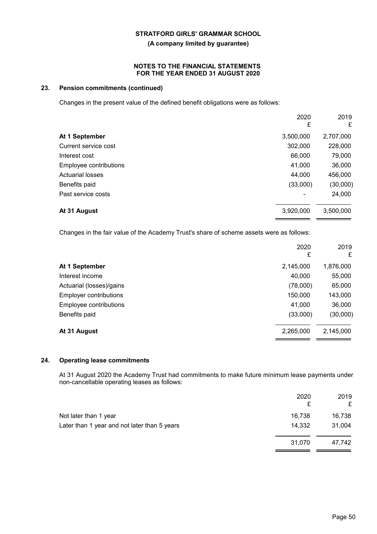**(A company limited by guarantee)**

#### **NOTES TO THE FINANCIAL STATEMENTS FOR THE YEAR ENDED 31 AUGUST 2020**

# **23. Pension commitments (continued)**

Changes in the present value of the defined benefit obligations were as follows:

|                         | 2020<br>£ | 2019<br>£ |
|-------------------------|-----------|-----------|
| At 1 September          | 3,500,000 | 2,707,000 |
| Current service cost    | 302,000   | 228,000   |
| Interest cost           | 66,000    | 79,000    |
| Employee contributions  | 41,000    | 36,000    |
| <b>Actuarial losses</b> | 44,000    | 456,000   |
| Benefits paid           | (33,000)  | (30,000)  |
| Past service costs      |           | 24,000    |
| At 31 August            | 3,920,000 | 3,500,000 |

Changes in the fair value of the Academy Trust's share of scheme assets were as follows:

|                               | 2020<br>£ | 2019<br>£ |
|-------------------------------|-----------|-----------|
| At 1 September                | 2,145,000 | 1,876,000 |
| Interest income               | 40,000    | 55,000    |
| Actuarial (losses)/gains      | (78,000)  | 65,000    |
| <b>Employer contributions</b> | 150,000   | 143,000   |
| Employee contributions        | 41,000    | 36,000    |
| Benefits paid                 | (33,000)  | (30,000)  |
| At 31 August                  | 2,265,000 | 2,145,000 |

### **24. Operating lease commitments**

At 31 August 2020 the Academy Trust had commitments to make future minimum lease payments under non-cancellable operating leases as follows:

|                                              | 2020<br>£ | 2019<br>£ |
|----------------------------------------------|-----------|-----------|
| Not later than 1 year                        | 16,738    | 16,738    |
| Later than 1 year and not later than 5 years | 14,332    | 31,004    |
|                                              | 31,070    | 47,742    |
|                                              |           |           |